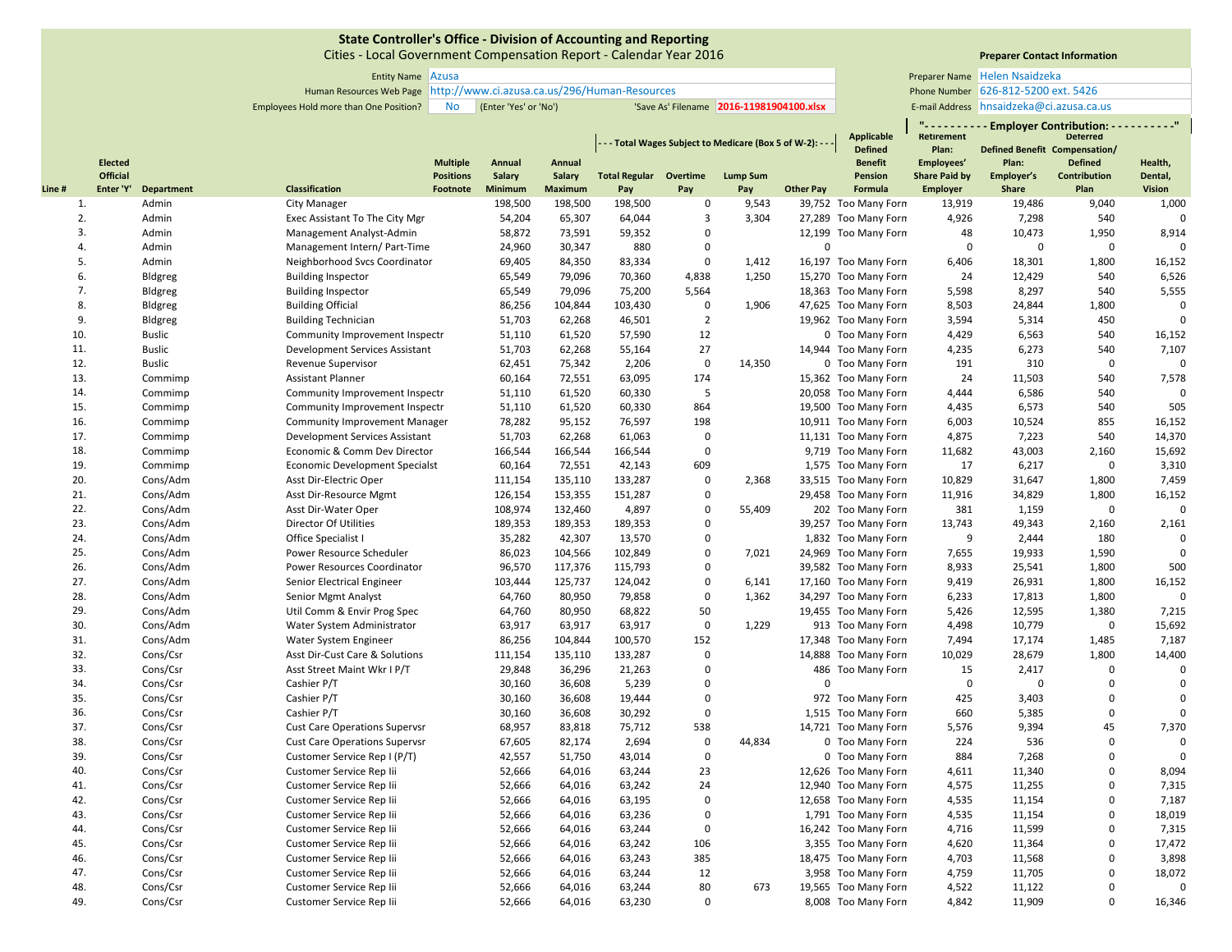Cities ‐ Local Government Compensation Report ‐ Calendar Year 2016

Entity Name Preparer Name Azusa

Human Resources Web Page Phone Number http://www.ci.azusa.ca.us/296/Human‐Resources

# **Preparer Contact Information**

**" ‐ ‐ ‐ ‐ ‐ ‐ ‐ ‐ ‐ ‐ Employer Contribution: ‐ ‐ ‐ ‐ ‐ ‐ ‐ ‐ ‐ ‐"**

Employees Hold more than One Position? No (Enter 'Yes' or 'No') 'Save As' Filename 2016-11981904100.xlsx | E-mail Address Helen Nsaidzeka 626‐812‐5200 ext. 5426 E-mail Address hnsaidzeka@ci.azusa.ca.us

|       |                 |                   |                                      |                  |         |                |                               |                | - - - Total Wages Subject to Medicare (Box 5 of W-2): - - |                  | Applicable<br><b>Defined</b> | <b>Retirement</b><br>Plan: |              | <b>Deterred</b><br>Defined Benefit Compensation/ |               |
|-------|-----------------|-------------------|--------------------------------------|------------------|---------|----------------|-------------------------------|----------------|-----------------------------------------------------------|------------------|------------------------------|----------------------------|--------------|--------------------------------------------------|---------------|
|       | <b>Elected</b>  |                   |                                      | <b>Multiple</b>  | Annual  | Annual         |                               |                |                                                           |                  | <b>Benefit</b>               | Employees'                 | Plan:        | <b>Defined</b>                                   | Health,       |
|       | <b>Official</b> |                   |                                      | <b>Positions</b> | Salary  | <b>Salary</b>  | <b>Total Regular Overtime</b> |                | <b>Lump Sum</b>                                           |                  | Pension                      | <b>Share Paid by</b>       | Employer's   | Contribution                                     | Dental,       |
| Line# | Enter 'Y'       | <b>Department</b> | Classification                       | Footnote         | Minimum | <b>Maximum</b> | Pay                           | Pay            | Pay                                                       | <b>Other Pay</b> | Formula                      | <b>Employer</b>            | <b>Share</b> | Plan                                             | <b>Vision</b> |
| 1.    |                 | Admin             | <b>City Manager</b>                  |                  | 198,500 | 198,500        | 198,500                       | $\mathbf 0$    | 9,543                                                     |                  | 39,752 Too Many Forn         | 13,919                     | 19,486       | 9,040                                            | 1,000         |
| 2.    |                 | Admin             | Exec Assistant To The City Mgr       |                  | 54,204  | 65,307         | 64,044                        | $\overline{3}$ | 3,304                                                     |                  | 27,289 Too Many Forn         | 4,926                      | 7,298        | 540                                              | $\Omega$      |
| 3.    |                 | Admin             | Management Analyst-Admin             |                  | 58,872  | 73,591         | 59,352                        | $\Omega$       |                                                           |                  | 12,199 Too Many Forn         | 48                         | 10,473       | 1,950                                            | 8,914         |
| 4.    |                 | Admin             | Management Intern/ Part-Time         |                  | 24,960  | 30,347         | 880                           | $\mathbf 0$    |                                                           | $\Omega$         |                              | 0                          | $\mathbf 0$  | $\mathsf 0$                                      | $\Omega$      |
| 5.    |                 | Admin             | Neighborhood Svcs Coordinator        |                  | 69,405  | 84,350         | 83,334                        | $\mathbf 0$    | 1,412                                                     |                  | 16,197 Too Many Forn         | 6,406                      | 18,301       | 1,800                                            | 16,152        |
| 6.    |                 | Bldgreg           | <b>Building Inspector</b>            |                  | 65,549  | 79,096         | 70,360                        | 4,838          | 1,250                                                     |                  | 15,270 Too Many Forn         | 24                         | 12,429       | 540                                              | 6,526         |
| 7.    |                 | Bldgreg           | <b>Building Inspector</b>            |                  | 65,549  | 79,096         | 75,200                        | 5,564          |                                                           |                  | 18,363 Too Many Forn         | 5,598                      | 8,297        | 540                                              | 5,555         |
| 8.    |                 | Bldgreg           | <b>Building Official</b>             |                  | 86,256  | 104,844        | 103,430                       | $\mathbf 0$    | 1,906                                                     |                  | 47,625 Too Many Forn         | 8,503                      | 24,844       | 1,800                                            | $\mathbf 0$   |
| 9.    |                 | Bldgreg           | <b>Building Technician</b>           |                  | 51,703  | 62,268         | 46,501                        | $\overline{2}$ |                                                           |                  | 19,962 Too Many Forn         | 3,594                      | 5,314        | 450                                              | $\Omega$      |
| 10.   |                 | <b>Buslic</b>     | Community Improvement Inspectr       |                  | 51,110  | 61,520         | 57,590                        | 12             |                                                           |                  | 0 Too Many Forn              | 4,429                      | 6,563        | 540                                              | 16,152        |
| 11.   |                 | <b>Buslic</b>     | Development Services Assistant       |                  | 51,703  | 62,268         | 55,164                        | 27             |                                                           |                  | 14,944 Too Many Forn         | 4,235                      | 6,273        | 540                                              | 7,107         |
| 12.   |                 | <b>Buslic</b>     | <b>Revenue Supervisor</b>            |                  | 62,451  | 75,342         | 2,206                         | $\mathbf 0$    | 14,350                                                    |                  | 0 Too Many Forn              | 191                        | 310          | $\mathbf 0$                                      | $\Omega$      |
| 13.   |                 | Commimp           | <b>Assistant Planner</b>             |                  | 60,164  | 72,551         | 63,095                        | 174            |                                                           |                  | 15,362 Too Many Forn         | 24                         | 11,503       | 540                                              | 7,578         |
| 14.   |                 | Commimp           | Community Improvement Inspectr       |                  | 51,110  | 61,520         | 60,330                        | 5              |                                                           |                  | 20,058 Too Many Forn         | 4,444                      | 6,586        | 540                                              | $\Omega$      |
| 15.   |                 | Commimp           | Community Improvement Inspectr       |                  | 51,110  | 61,520         | 60,330                        | 864            |                                                           |                  | 19,500 Too Many Forn         | 4,435                      | 6,573        | 540                                              | 505           |
| 16.   |                 | Commimp           | <b>Community Improvement Manager</b> |                  | 78,282  | 95,152         | 76,597                        | 198            |                                                           |                  | 10,911 Too Many Forn         | 6,003                      | 10,524       | 855                                              | 16,152        |
| 17.   |                 | Commimp           | Development Services Assistant       |                  | 51,703  | 62,268         | 61,063                        | $\mathbf 0$    |                                                           |                  | 11,131 Too Many Forn         | 4,875                      | 7,223        | 540                                              | 14,370        |
| 18.   |                 | Commimp           | Economic & Comm Dev Director         |                  | 166,544 | 166,544        | 166,544                       | $\mathbf 0$    |                                                           |                  | 9,719 Too Many Forn          | 11,682                     | 43,003       | 2,160                                            | 15,692        |
| 19.   |                 | Commimp           | Economic Development Specialst       |                  | 60,164  | 72,551         | 42,143                        | 609            |                                                           |                  | 1,575 Too Many Forn          | 17                         | 6,217        | $\mathsf 0$                                      | 3,310         |
| 20.   |                 | Cons/Adm          | Asst Dir-Electric Oper               |                  | 111,154 | 135,110        | 133,287                       | $\mathbf 0$    | 2,368                                                     |                  | 33,515 Too Many Forn         | 10,829                     | 31,647       | 1,800                                            | 7,459         |
| 21.   |                 | Cons/Adm          | Asst Dir-Resource Mgmt               |                  | 126,154 | 153,355        | 151,287                       | $\mathbf 0$    |                                                           |                  | 29,458 Too Many Forn         | 11,916                     | 34,829       | 1,800                                            | 16,152        |
| 22.   |                 | Cons/Adm          | Asst Dir-Water Oper                  |                  | 108,974 | 132,460        | 4,897                         | $\mathbf 0$    | 55,409                                                    |                  | 202 Too Many Forn            | 381                        | 1,159        | $\mathsf 0$                                      | $\Omega$      |
| 23.   |                 | Cons/Adm          | <b>Director Of Utilities</b>         |                  | 189,353 | 189,353        | 189,353                       | 0              |                                                           |                  | 39,257 Too Many Forn         | 13,743                     | 49,343       | 2,160                                            | 2,161         |
| 24.   |                 | Cons/Adm          | Office Specialist I                  |                  | 35,282  | 42,307         | 13,570                        | $\mathbf 0$    |                                                           |                  | 1,832 Too Many Forn          | 9                          | 2,444        | 180                                              | $\mathbf 0$   |
| 25.   |                 | Cons/Adm          | Power Resource Scheduler             |                  | 86,023  | 104,566        | 102,849                       | $\mathbf 0$    | 7,021                                                     |                  | 24,969 Too Many Forn         | 7,655                      | 19,933       | 1,590                                            | $\Omega$      |
| 26.   |                 | Cons/Adm          | Power Resources Coordinator          |                  | 96,570  | 117,376        | 115,793                       | 0              |                                                           |                  | 39,582 Too Many Forn         | 8,933                      | 25,541       | 1,800                                            | 500           |
| 27.   |                 | Cons/Adm          | Senior Electrical Engineer           |                  | 103,444 | 125,737        | 124,042                       | $\mathbf 0$    | 6,141                                                     |                  | 17,160 Too Many Forn         | 9,419                      | 26,931       | 1,800                                            | 16,152        |
| 28.   |                 | Cons/Adm          | Senior Mgmt Analyst                  |                  | 64,760  | 80,950         | 79,858                        | $\mathbf 0$    | 1,362                                                     |                  | 34,297 Too Many Forn         | 6,233                      | 17,813       | 1,800                                            | $\Omega$      |
| 29.   |                 | Cons/Adm          | Util Comm & Envir Prog Spec          |                  | 64,760  | 80,950         | 68,822                        | 50             |                                                           |                  | 19,455 Too Many Forn         | 5,426                      | 12,595       | 1,380                                            | 7,215         |
| 30.   |                 | Cons/Adm          | Water System Administrator           |                  | 63,917  | 63,917         | 63,917                        | $\mathbf 0$    | 1,229                                                     |                  | 913 Too Many Forn            | 4,498                      | 10,779       | $\mathbf 0$                                      | 15,692        |
| 31.   |                 | Cons/Adm          | Water System Engineer                |                  | 86,256  | 104,844        | 100,570                       | 152            |                                                           |                  | 17,348 Too Many Forn         | 7,494                      | 17,174       | 1,485                                            | 7,187         |
| 32.   |                 | Cons/Csr          | Asst Dir-Cust Care & Solutions       |                  | 111,154 | 135,110        | 133,287                       | $\mathbf 0$    |                                                           |                  | 14,888 Too Many Forn         | 10,029                     | 28,679       | 1,800                                            | 14,400        |
| 33.   |                 | Cons/Csr          | Asst Street Maint Wkr I P/T          |                  | 29,848  | 36,296         | 21,263                        | $\mathbf 0$    |                                                           |                  | 486 Too Many Forn            | 15                         | 2,417        | $\mathsf 0$                                      | $\mathbf 0$   |
| 34.   |                 | Cons/Csr          | Cashier P/T                          |                  | 30,160  | 36,608         | 5,239                         | $\mathbf 0$    |                                                           | $\Omega$         |                              | $\Omega$                   | $\Omega$     | $\mathbf 0$                                      | $\mathbf 0$   |
| 35.   |                 | Cons/Csr          | Cashier P/T                          |                  | 30,160  | 36,608         | 19,444                        | 0              |                                                           |                  | 972 Too Many Forn            | 425                        | 3,403        | $\mathbf 0$                                      | $\mathbf{0}$  |
| 36.   |                 | Cons/Csr          | Cashier P/T                          |                  | 30,160  | 36,608         | 30,292                        | $\mathbf 0$    |                                                           |                  | 1,515 Too Many Forn          | 660                        | 5,385        | $\mathbf 0$                                      | $\Omega$      |
| 37.   |                 | Cons/Csr          | <b>Cust Care Operations Supervsr</b> |                  | 68,957  | 83,818         | 75,712                        | 538            |                                                           |                  | 14,721 Too Many Forn         | 5,576                      | 9,394        | 45                                               | 7,370         |
| 38.   |                 | Cons/Csr          | <b>Cust Care Operations Supervsr</b> |                  | 67,605  | 82,174         | 2,694                         | $\mathbf 0$    | 44,834                                                    |                  | 0 Too Many Forn              | 224                        | 536          | $\mathbf{0}$                                     | $\Omega$      |
| 39.   |                 | Cons/Csr          | Customer Service Rep I (P/T)         |                  | 42,557  | 51,750         | 43,014                        | $\mathbf 0$    |                                                           |                  | 0 Too Many Forn              | 884                        | 7,268        | $\mathbf 0$                                      | $\Omega$      |
| 40.   |                 | Cons/Csr          | Customer Service Rep Iii             |                  | 52,666  | 64,016         | 63,244                        | 23             |                                                           |                  | 12,626 Too Many Forn         | 4,611                      | 11,340       | $\Omega$                                         | 8,094         |
| 41.   |                 | Cons/Csr          | Customer Service Rep lii             |                  | 52,666  | 64,016         | 63,242                        | 24             |                                                           |                  | 12,940 Too Many Forn         | 4,575                      | 11,255       | $\mathbf 0$                                      | 7,315         |
| 42.   |                 | Cons/Csr          | Customer Service Rep lii             |                  | 52,666  | 64,016         | 63,195                        | $\mathbf 0$    |                                                           |                  | 12,658 Too Many Forn         | 4,535                      | 11,154       | 0                                                | 7,187         |
| 43.   |                 | Cons/Csr          | Customer Service Rep lii             |                  | 52,666  | 64,016         | 63,236                        | $\mathbf{0}$   |                                                           |                  | 1,791 Too Many Forn          | 4,535                      | 11,154       | $\mathbf 0$                                      | 18,019        |
| 44.   |                 | Cons/Csr          | Customer Service Rep lii             |                  | 52,666  | 64,016         | 63,244                        | $\mathbf 0$    |                                                           |                  | 16,242 Too Many Forn         | 4,716                      | 11,599       | 0                                                | 7,315         |
| 45.   |                 | Cons/Csr          | Customer Service Rep lii             |                  | 52,666  | 64,016         | 63,242                        | 106            |                                                           |                  | 3,355 Too Many Forn          | 4,620                      | 11,364       | $\Omega$                                         | 17,472        |
| 46.   |                 | Cons/Csr          | Customer Service Rep lii             |                  | 52,666  | 64,016         | 63,243                        | 385            |                                                           |                  | 18,475 Too Many Forn         | 4,703                      | 11,568       | 0                                                | 3,898         |
| 47.   |                 | Cons/Csr          | Customer Service Rep lii             |                  | 52,666  | 64,016         | 63,244                        | 12             |                                                           |                  | 3,958 Too Many Forn          | 4,759                      | 11,705       | $\mathbf 0$                                      | 18,072        |
| 48.   |                 | Cons/Csr          | Customer Service Rep lii             |                  | 52,666  | 64,016         | 63,244                        | 80             | 673                                                       |                  | 19,565 Too Many Forn         | 4,522                      | 11,122       | $\mathbf 0$                                      | $\mathbf 0$   |
| 49.   |                 | Cons/Csr          | Customer Service Rep lii             |                  | 52,666  | 64,016         | 63,230                        | $\mathbf 0$    |                                                           |                  | 8,008 Too Many Forn          | 4,842                      | 11,909       | $\mathbf 0$                                      | 16,346        |
|       |                 |                   |                                      |                  |         |                |                               |                |                                                           |                  |                              |                            |              |                                                  |               |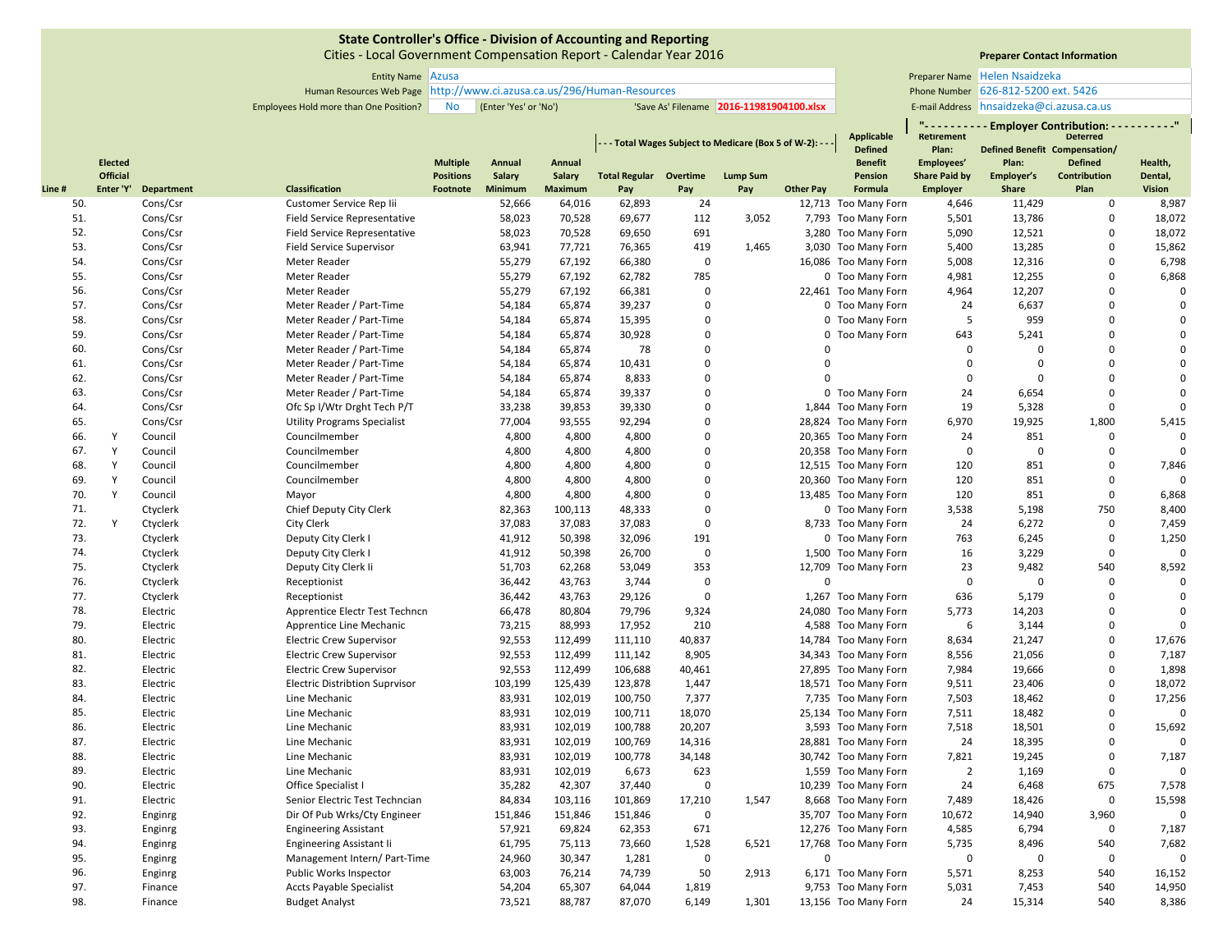Cities ‐ Local Government Compensation Report ‐ Calendar Year 2016

# **Preparer Contact Information**

**" ‐ ‐ ‐ ‐ ‐ ‐ ‐ ‐ ‐ ‐ Employer Contribution: ‐ ‐ ‐ ‐ ‐ ‐ ‐ ‐ ‐ ‐"**

| Entity Name Azusa |           |                                                            |                                          | Preparer Name Helen Nsaidzeka            |
|-------------------|-----------|------------------------------------------------------------|------------------------------------------|------------------------------------------|
|                   |           | s Web Page   http://www.ci.azusa.ca.us/296/Human-Resources |                                          | Phone Number 626-812-5200 ext. 5426      |
| ne Position?      | <b>No</b> | (Enter 'Yes' or 'No')                                      | 'Save As' Filename 2016-11981904100.xlsx | E-mail Address hnsaidzeka@ci.azusa.ca.us |

Human Resources Web Page Phone Number http://www.ci.azusa.ca.us/296/Human‐Resources

Employees Hold more than One Position? No (Enter 'Yes' or 'No') 'Save As' Filename 2016-11981904100.xlsx | E-mail Address

|       |                 |                   |                                       |                  |               |                |                               |             | - - Total Wages Subject to Medicare (Box 5 of W-2): - - |                  | Applicable<br><b>Defined</b> | Retirement<br>Plan:  | <b>Defined Benefit Compensation/</b> | <b>Deterred</b>     |                |
|-------|-----------------|-------------------|---------------------------------------|------------------|---------------|----------------|-------------------------------|-------------|---------------------------------------------------------|------------------|------------------------------|----------------------|--------------------------------------|---------------------|----------------|
|       | <b>Elected</b>  |                   |                                       | <b>Multiple</b>  | Annual        | Annual         |                               |             |                                                         |                  | <b>Benefit</b>               | Employees'           | Plan:                                | <b>Defined</b>      | Health,        |
|       | <b>Official</b> |                   |                                       | <b>Positions</b> | <b>Salary</b> | Salary         | <b>Total Regular Overtime</b> |             | <b>Lump Sum</b>                                         |                  | Pension                      | <b>Share Paid by</b> | Employer's                           | <b>Contribution</b> | Dental,        |
| Line# | Enter 'Y'       | <b>Department</b> | <b>Classification</b>                 | Footnote         | Minimum       | <b>Maximum</b> | Pay                           | Pay         | Pay                                                     | <b>Other Pay</b> | Formula                      | <b>Employer</b>      | Share                                | Plan                | <b>Vision</b>  |
| 50.   |                 | Cons/Csr          | Customer Service Rep Iii              |                  | 52,666        | 64,016         | 62,893                        | 24          |                                                         |                  | 12,713 Too Many Forn         | 4,646                | 11,429                               | $\mathbf 0$         | 8,987          |
| 51.   |                 | Cons/Csr          | <b>Field Service Representative</b>   |                  | 58,023        | 70,528         | 69,677                        | 112         | 3,052                                                   |                  | 7,793 Too Many Forn          | 5,501                | 13,786                               | $\mathbf 0$         | 18,072         |
| 52.   |                 | Cons/Csr          | Field Service Representative          |                  | 58,023        | 70,528         | 69,650                        | 691         |                                                         |                  | 3,280 Too Many Forn          | 5,090                | 12,521                               | $\mathbf 0$         | 18,072         |
| 53.   |                 | Cons/Csr          | <b>Field Service Supervisor</b>       |                  | 63,941        | 77,721         | 76,365                        | 419         | 1,465                                                   |                  | 3,030 Too Many Forn          | 5,400                | 13,285                               | $\mathbf 0$         | 15,862         |
| 54.   |                 | Cons/Csr          | Meter Reader                          |                  | 55,279        | 67,192         | 66,380                        | $\mathbf 0$ |                                                         |                  | 16,086 Too Many Forn         | 5,008                | 12,316                               | $\mathbf 0$         | 6,798          |
| 55.   |                 | Cons/Csr          | Meter Reader                          |                  | 55,279        | 67,192         | 62,782                        | 785         |                                                         |                  | 0 Too Many Forn              | 4,981                | 12,255                               | $\Omega$            | 6,868          |
| 56.   |                 | Cons/Csr          | Meter Reader                          |                  | 55,279        | 67,192         | 66,381                        | $\mathbf 0$ |                                                         |                  | 22,461 Too Many Forn         | 4,964                | 12,207                               | $\mathbf 0$         | $\mathbf 0$    |
| 57.   |                 | Cons/Csr          | Meter Reader / Part-Time              |                  | 54,184        | 65,874         | 39,237                        | $\mathbf 0$ |                                                         |                  | 0 Too Many Forn              | 24                   | 6,637                                | $\mathbf 0$         | $\mathbf 0$    |
| 58.   |                 | Cons/Csr          | Meter Reader / Part-Time              |                  | 54,184        | 65,874         | 15,395                        | $\Omega$    |                                                         |                  | 0 Too Many Forn              | .5                   | 959                                  | $\Omega$            | $\mathbf 0$    |
| 59.   |                 | Cons/Csr          | Meter Reader / Part-Time              |                  | 54,184        | 65,874         | 30,928                        | 0           |                                                         |                  | 0 Too Many Forn              | 643                  | 5,241                                | $\mathbf 0$         | $\mathbf 0$    |
| 60.   |                 | Cons/Csr          | Meter Reader / Part-Time              |                  | 54,184        | 65,874         | 78                            | $\mathbf 0$ |                                                         | $\Omega$         |                              | $\mathbf 0$          | $\mathbf 0$                          | $\mathbf 0$         | $\mathbf 0$    |
| 61.   |                 | Cons/Csr          | Meter Reader / Part-Time              |                  | 54,184        | 65,874         | 10,431                        | $\Omega$    |                                                         | $\Omega$         |                              | $\Omega$             | $\Omega$                             | $\Omega$            | $\mathbf 0$    |
| 62.   |                 | Cons/Csr          | Meter Reader / Part-Time              |                  | 54,184        | 65,874         | 8,833                         | $\mathbf 0$ |                                                         | $\Omega$         |                              | $\mathbf 0$          | $\Omega$                             | $\mathbf 0$         | $\mathbf 0$    |
| 63.   |                 | Cons/Csr          | Meter Reader / Part-Time              |                  | 54,184        | 65,874         | 39,337                        | 0           |                                                         |                  | 0 Too Many Forn              | 24                   | 6,654                                | $\mathbf 0$         | $\overline{0}$ |
| 64.   |                 | Cons/Csr          | Ofc Sp I/Wtr Drght Tech P/T           |                  | 33,238        | 39,853         | 39,330                        | 0           |                                                         |                  | 1,844 Too Many Forn          | 19                   | 5,328                                | $\mathbf 0$         | $\Omega$       |
| 65.   |                 | Cons/Csr          | <b>Utility Programs Specialist</b>    |                  | 77,004        | 93,555         | 92,294                        | $\Omega$    |                                                         |                  | 28,824 Too Many Forn         | 6,970                | 19,925                               | 1,800               | 5,415          |
| 66.   | Y               | Council           | Councilmember                         |                  | 4,800         | 4,800          | 4,800                         | $\Omega$    |                                                         |                  | 20,365 Too Many Forn         | 24                   | 851                                  | $\mathbf 0$         | $\Omega$       |
| 67.   | Υ               | Council           | Councilmember                         |                  | 4,800         | 4,800          | 4,800                         | $\mathbf 0$ |                                                         |                  | 20,358 Too Many Forn         | $\mathsf 0$          | $\mathbf 0$                          | $\mathbf 0$         | $\Omega$       |
| 68.   | Y               | Council           | Councilmember                         |                  | 4,800         | 4,800          | 4,800                         | $\Omega$    |                                                         |                  | 12,515 Too Many Forn         | 120                  | 851                                  | $\Omega$            | 7,846          |
| 69.   | Y               | Council           | Councilmember                         |                  | 4,800         | 4,800          | 4,800                         | $\mathbf 0$ |                                                         |                  | 20,360 Too Many Forn         | 120                  | 851                                  | $\Omega$            | $\mathbf 0$    |
| 70.   | Y               | Council           | Mayor                                 |                  | 4,800         | 4,800          | 4,800                         | $\Omega$    |                                                         |                  | 13,485 Too Many Forn         | 120                  | 851                                  | $\Omega$            | 6,868          |
| 71.   |                 | Ctyclerk          | Chief Deputy City Clerk               |                  | 82,363        | 100,113        | 48,333                        | $\mathbf 0$ |                                                         |                  | 0 Too Many Forn              | 3,538                | 5,198                                | 750                 | 8,400          |
| 72.   | Y               | Ctyclerk          | City Clerk                            |                  | 37,083        | 37,083         | 37,083                        | $\mathbf 0$ |                                                         |                  | 8,733 Too Many Forn          | 24                   | 6,272                                | $\mathbf 0$         | 7,459          |
| 73.   |                 | Ctyclerk          | Deputy City Clerk I                   |                  | 41,912        | 50,398         | 32,096                        | 191         |                                                         |                  | 0 Too Many Forn              | 763                  | 6,245                                | $\Omega$            | 1,250          |
| 74.   |                 | Ctyclerk          | Deputy City Clerk I                   |                  | 41,912        | 50,398         | 26,700                        | $\mathbf 0$ |                                                         |                  | 1,500 Too Many Forn          | 16                   | 3,229                                | $\mathbf 0$         | $\mathbf 0$    |
| 75.   |                 | Ctyclerk          | Deputy City Clerk li                  |                  | 51,703        | 62,268         | 53,049                        | 353         |                                                         |                  | 12,709 Too Many Forn         | 23                   | 9,482                                | 540                 | 8,592          |
| 76.   |                 | Ctyclerk          | Receptionist                          |                  | 36,442        | 43,763         | 3,744                         | $\mathbf 0$ |                                                         | $\Omega$         |                              | $\mathbf 0$          | $\Omega$                             | $\Omega$            | $\mathbf 0$    |
| 77.   |                 | Ctyclerk          | Receptionist                          |                  | 36,442        | 43,763         | 29,126                        | $\mathbf 0$ |                                                         |                  | 1,267 Too Many Forn          | 636                  | 5,179                                | $\mathbf 0$         | $\Omega$       |
| 78.   |                 | Electric          | Apprentice Electr Test Techncn        |                  | 66,478        | 80,804         | 79,796                        | 9,324       |                                                         |                  | 24,080 Too Many Forn         | 5,773                | 14,203                               | $\mathbf 0$         | $\mathbf 0$    |
| 79.   |                 | Electric          | Apprentice Line Mechanic              |                  | 73,215        | 88,993         | 17,952                        | 210         |                                                         |                  | 4,588 Too Many Forn          | 6                    | 3,144                                | $\Omega$            | $\Omega$       |
| 80.   |                 | Electric          | <b>Electric Crew Supervisor</b>       |                  | 92,553        | 112,499        | 111,110                       | 40,837      |                                                         |                  | 14,784 Too Many Forn         | 8,634                | 21,247                               | $\Omega$            | 17,676         |
| 81.   |                 | Electric          | <b>Electric Crew Supervisor</b>       |                  | 92,553        | 112,499        | 111,142                       | 8,905       |                                                         |                  | 34,343 Too Many Forn         | 8,556                | 21,056                               | $\mathbf 0$         | 7,187          |
| 82.   |                 | Electric          | <b>Electric Crew Supervisor</b>       |                  | 92,553        | 112,499        | 106,688                       | 40,461      |                                                         |                  | 27,895 Too Many Forn         | 7,984                | 19,666                               | $\mathbf 0$         | 1,898          |
| 83.   |                 | Electric          | <b>Electric Distribtion Suprvisor</b> |                  | 103,199       | 125,439        | 123,878                       | 1,447       |                                                         |                  | 18,571 Too Many Forn         | 9,511                | 23,406                               | $\Omega$            | 18,072         |
| 84.   |                 | Electric          | Line Mechanic                         |                  | 83,931        | 102,019        | 100,750                       | 7,377       |                                                         |                  | 7,735 Too Many Forn          | 7,503                | 18,462                               | $\mathbf 0$         | 17,256         |
| 85.   |                 | Electric          | Line Mechanic                         |                  | 83,931        | 102,019        | 100,711                       | 18,070      |                                                         |                  | 25,134 Too Many Forn         | 7,511                | 18,482                               | $\mathbf 0$         | $\Omega$       |
| 86.   |                 | Electric          | Line Mechanic                         |                  | 83,931        | 102,019        | 100,788                       | 20,207      |                                                         |                  | 3,593 Too Many Forn          | 7,518                | 18,501                               | $\mathbf 0$         | 15,692         |
| 87.   |                 | Electric          | Line Mechanic                         |                  | 83,931        | 102,019        | 100,769                       | 14,316      |                                                         |                  | 28,881 Too Many Forn         | 24                   | 18,395                               | $\mathbf 0$         | $\Omega$       |
| 88.   |                 | Electric          | Line Mechanic                         |                  | 83,931        | 102,019        | 100,778                       | 34,148      |                                                         |                  | 30,742 Too Many Forn         | 7,821                | 19,245                               | $\mathbf 0$         | 7,187          |
| 89.   |                 | Electric          | Line Mechanic                         |                  | 83,931        | 102,019        | 6,673                         | 623         |                                                         |                  | 1,559 Too Many Forn          | $\overline{2}$       | 1,169                                | $\mathbf 0$         | $\Omega$       |
| 90.   |                 | Electric          | Office Specialist I                   |                  | 35,282        | 42,307         | 37,440                        | $\Omega$    |                                                         |                  | 10,239 Too Many Forn         | 24                   | 6,468                                | 675                 | 7,578          |
| 91.   |                 | Electric          | Senior Electric Test Techncian        |                  | 84,834        | 103,116        | 101,869                       | 17,210      | 1,547                                                   |                  | 8,668 Too Many Forn          | 7,489                | 18,426                               | $\mathbf 0$         | 15,598         |
| 92.   |                 | Enginrg           | Dir Of Pub Wrks/Cty Engineer          |                  | 151,846       | 151,846        | 151,846                       | $\mathbf 0$ |                                                         |                  | 35,707 Too Many Forn         | 10,672               | 14,940                               | 3,960               | $\Omega$       |
| 93.   |                 | Enginrg           | <b>Engineering Assistant</b>          |                  | 57,921        | 69,824         | 62,353                        | 671         |                                                         |                  | 12,276 Too Many Forn         | 4,585                | 6,794                                | $\mathbf 0$         | 7,187          |
| 94.   |                 | Enginrg           | Engineering Assistant Ii              |                  | 61,795        | 75,113         | 73,660                        | 1,528       | 6,521                                                   |                  | 17,768 Too Many Forn         | 5,735                | 8,496                                | 540                 | 7,682          |
| 95.   |                 | Enginrg           | Management Intern/ Part-Time          |                  | 24,960        | 30,347         | 1,281                         | $\mathbf 0$ |                                                         | $\Omega$         |                              | $\Omega$             | 0                                    | $\mathbf 0$         | $\Omega$       |
| 96.   |                 | Enginrg           | Public Works Inspector                |                  | 63,003        | 76,214         | 74,739                        | 50          | 2,913                                                   |                  | 6,171 Too Many Forn          | 5,571                | 8,253                                | 540                 | 16,152         |
| 97.   |                 | Finance           | <b>Accts Payable Specialist</b>       |                  | 54,204        | 65,307         | 64,044                        | 1,819       |                                                         |                  | 9,753 Too Many Forn          | 5,031                | 7,453                                | 540                 | 14,950         |
| 98.   |                 | Finance           | <b>Budget Analyst</b>                 |                  | 73,521        | 88,787         | 87,070                        | 6,149       | 1,301                                                   |                  | 13,156 Too Many Forn         | 24                   | 15,314                               | 540                 | 8,386          |
|       |                 |                   |                                       |                  |               |                |                               |             |                                                         |                  |                              |                      |                                      |                     |                |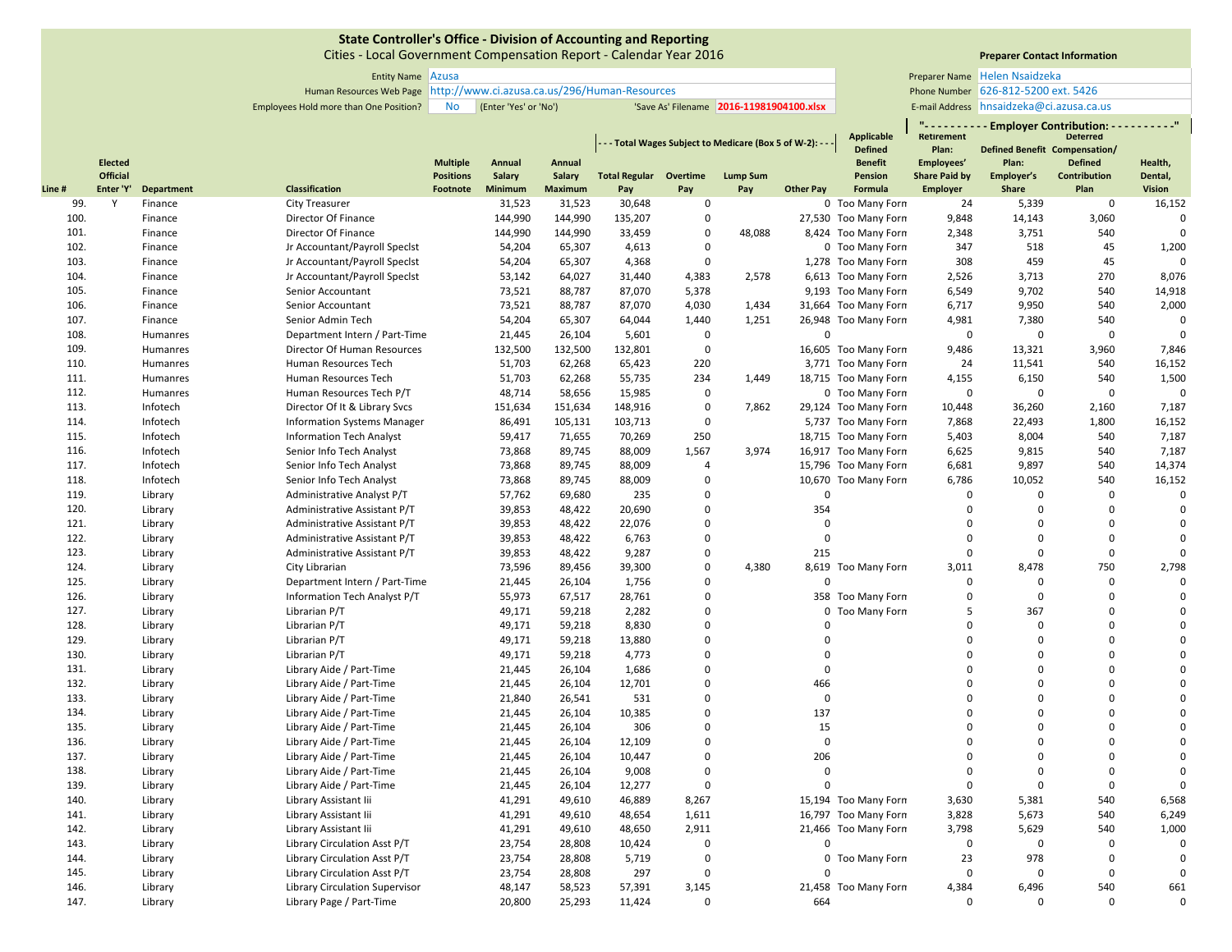Cities ‐ Local Government Compensation Report ‐ Calendar Year 2016

**Line**

# **Preparer Contact Information**

**" ‐ ‐ ‐ ‐ ‐ ‐ ‐ ‐ ‐ ‐ Employer Contribution: ‐ ‐ ‐ ‐ ‐ ‐ ‐ ‐ ‐ ‐"**

Entity Name Preparer Name Azusa Human Resources Web Page Phone Number http://www.ci.azusa.ca.us/296/Human‐Resources Employees Hold more than One Position? No (Enter 'Yes' or 'No') 'Save As' Filename 2016-11981904100.xlsx | E-mail Address Helen Nsaidzeka 626‐812‐5200 ext. 5426 E-mail Address hnsaidzeka@ci.azusa.ca.us

**Applicable** 

|              |                 |                   |                                       |                  |         |                |                               |                   | - - Total Wages Subject to Medicare (Box 5 of W-2): - - |                  | Applicable<br><b>Defined</b> | Retirement<br>Plan:  | Defined Benefit Compensation/ | <b>Deterred</b> |               |
|--------------|-----------------|-------------------|---------------------------------------|------------------|---------|----------------|-------------------------------|-------------------|---------------------------------------------------------|------------------|------------------------------|----------------------|-------------------------------|-----------------|---------------|
|              | <b>Elected</b>  |                   |                                       | <b>Multiple</b>  | Annual  | Annual         |                               |                   |                                                         |                  | <b>Benefit</b>               | Employees'           | Plan:                         | <b>Defined</b>  | Health,       |
|              | <b>Official</b> |                   |                                       | <b>Positions</b> | Salary  | <b>Salary</b>  | <b>Total Regular Overtime</b> |                   | <b>Lump Sum</b>                                         |                  | Pension                      | <b>Share Paid by</b> | Employer's                    | Contribution    | Dental,       |
| e#           | Enter 'Y'       | <b>Department</b> | Classification                        | Footnote         | Minimum | <b>Maximum</b> | Pay                           | Pay               | Pay                                                     | <b>Other Pay</b> | Formula                      | Employer             | Share                         | Plan            | <b>Vision</b> |
| 99.          | Y               | Finance           | <b>City Treasurer</b>                 |                  | 31,523  | 31,523         | 30,648                        | $\mathbf 0$       |                                                         |                  | 0 Too Many Forn              | 24                   | 5,339                         | $\mathbf 0$     | 16,152        |
| 100.         |                 | Finance           | Director Of Finance                   |                  | 144,990 | 144,990        | 135,207                       | $\mathbf 0$       |                                                         |                  | 27,530 Too Many Forn         | 9,848                | 14,143                        | 3,060           |               |
| 101.         |                 | Finance           | Director Of Finance                   |                  | 144,990 | 144,990        | 33,459                        | $\Omega$          | 48,088                                                  |                  | 8,424 Too Many Forn          | 2,348                | 3,751                         | 540             |               |
| 102.         |                 | Finance           | Jr Accountant/Payroll Specist         |                  | 54,204  | 65,307         | 4,613                         | $\mathbf 0$       |                                                         |                  | 0 Too Many Forn              | 347                  | 518                           | 45              | 1,200         |
| 103.         |                 | Finance           | Jr Accountant/Payroll Specist         |                  | 54,204  | 65,307         | 4,368                         | $\Omega$          |                                                         |                  | 1,278 Too Many Forn          | 308                  | 459                           | 45              |               |
| 104.         |                 | Finance           | Jr Accountant/Payroll Specist         |                  | 53,142  | 64,027         | 31,440                        | 4,383             | 2,578                                                   |                  | 6,613 Too Many Forn          | 2,526                | 3,713                         | 270             | 8,076         |
| 105.         |                 | Finance           | Senior Accountant                     |                  | 73,521  | 88,787         | 87,070                        | 5,378             |                                                         |                  | 9,193 Too Many Forn          | 6,549                | 9,702                         | 540             | 14,918        |
| 106.         |                 | Finance           | Senior Accountant                     |                  | 73,521  | 88,787         | 87,070                        | 4,030             | 1,434                                                   |                  | 31,664 Too Many Forn         | 6,717                | 9,950                         | 540             | 2,000         |
| 107.         |                 | Finance           | Senior Admin Tech                     |                  | 54,204  | 65,307         | 64,044                        | 1,440             | 1,251                                                   |                  | 26,948 Too Many Forn         | 4,981                | 7,380                         | 540             |               |
| 108.         |                 | Humanres          | Department Intern / Part-Time         |                  | 21,445  | 26,104         | 5,601                         | $\Omega$          |                                                         | $\Omega$         |                              | $\Omega$             | $\mathbf 0$                   | $\Omega$        |               |
| 109.         |                 | Humanres          | Director Of Human Resources           |                  | 132,500 | 132,500        | 132,801                       | $\mathbf 0$       |                                                         |                  | 16,605 Too Many Forn         | 9,486                | 13,321                        | 3,960           | 7,846         |
| 110.         |                 | Humanres          | Human Resources Tech                  |                  | 51,703  | 62,268         | 65,423                        | 220               |                                                         |                  | 3,771 Too Many Forn          | 24                   | 11,541                        | 540             | 16,152        |
| 111.         |                 | Humanres          | Human Resources Tech                  |                  | 51,703  | 62,268         | 55,735                        | 234               | 1,449                                                   |                  | 18,715 Too Many Forn         | 4,155                | 6,150                         | 540             | 1,500         |
| 112.         |                 | Humanres          | Human Resources Tech P/T              |                  | 48,714  | 58,656         | 15,985                        | $\mathbf 0$       |                                                         |                  | 0 Too Many Forn              | 0                    | $\mathbf 0$                   | $\Omega$        |               |
| 113.         |                 | Infotech          | Director Of It & Library Svcs         |                  | 151,634 | 151,634        | 148,916                       | $\Omega$          | 7,862                                                   |                  | 29,124 Too Many Forn         | 10,448               | 36,260                        | 2,160           | 7,187         |
| 114.         |                 | Infotech          | <b>Information Systems Manager</b>    |                  | 86,491  | 105,131        | 103,713                       | $\Omega$          |                                                         |                  | 5,737 Too Many Forn          | 7,868                | 22,493                        | 1,800           | 16,152        |
| 115.         |                 | Infotech          | <b>Information Tech Analyst</b>       |                  | 59,417  | 71,655         | 70,269                        | 250               |                                                         |                  | 18,715 Too Many Forn         | 5,403                | 8,004                         | 540             | 7,187         |
| 116.         |                 | Infotech          | Senior Info Tech Analyst              |                  | 73,868  | 89,745         | 88,009                        | 1,567             | 3,974                                                   |                  | 16,917 Too Many Forn         | 6,625                | 9,815                         | 540             | 7,187         |
| 117.         |                 | Infotech          | Senior Info Tech Analyst              |                  | 73,868  | 89,745         | 88,009                        | $\overline{4}$    |                                                         |                  | 15,796 Too Many Forn         | 6,681                | 9,897                         | 540             | 14,374        |
| 118.         |                 | Infotech          | Senior Info Tech Analyst              |                  | 73,868  | 89,745         | 88,009                        | $\Omega$          |                                                         |                  | 10,670 Too Many Forn         | 6,786                | 10,052                        | 540             | 16,152        |
| 119.         |                 | Library           | Administrative Analyst P/T            |                  | 57,762  | 69,680         | 235                           | $\Omega$          |                                                         | $\Omega$         |                              | $\Omega$             | $\mathbf 0$                   | $\Omega$        |               |
| 120.         |                 | Library           | Administrative Assistant P/T          |                  | 39,853  | 48,422         | 20,690                        | $\mathbf 0$       |                                                         | 354              |                              | 0                    | $\mathbf 0$                   | $\Omega$        |               |
| 121.         |                 | Library           | Administrative Assistant P/T          |                  | 39,853  | 48,422         | 22,076                        | $\Omega$          |                                                         | $\mathbf 0$      |                              | $\Omega$             | $\Omega$                      | $\Omega$        | $\Omega$      |
| 122.         |                 | Library           | Administrative Assistant P/T          |                  | 39,853  | 48,422         | 6,763                         | $\mathbf 0$       |                                                         | $\mathbf 0$      |                              | $\mathbf 0$          | $\mathbf 0$                   | $\pmb{0}$       |               |
| 123.         |                 | Library           | Administrative Assistant P/T          |                  | 39,853  | 48,422         | 9,287                         | $\mathbf 0$       |                                                         | 215              |                              | $\mathbf 0$          | $\mathbf 0$                   | $\Omega$        |               |
| 124.         |                 | Library           | City Librarian                        |                  | 73,596  | 89,456         | 39,300                        | $\mathbf 0$       | 4,380                                                   |                  | 8,619 Too Many Forn          | 3,011                | 8,478                         | 750             | 2,798         |
| 125.         |                 | Library           | Department Intern / Part-Time         |                  | 21,445  | 26,104         | 1,756                         | $\Omega$          |                                                         | $\Omega$         |                              | 0                    | $\Omega$                      | $\Omega$        |               |
| 126.         |                 | Library           | Information Tech Analyst P/T          |                  | 55,973  | 67,517         | 28,761                        | $\mathbf 0$       |                                                         |                  | 358 Too Many Forn            | 0                    | $\mathbf 0$                   | $\Omega$        |               |
| 127.         |                 | Library           | Librarian P/T                         |                  | 49,171  | 59,218         | 2,282                         | $\overline{0}$    |                                                         |                  | 0 Too Many Forn              | 5                    | 367                           | $\Omega$        |               |
| 128.         |                 | Library           | Librarian P/T                         |                  | 49,171  | 59,218         | 8,830                         | $\Omega$          |                                                         | $\Omega$         |                              | $\mathbf 0$          | $\Omega$                      | $\Omega$        |               |
| 129.         |                 | Library           | Librarian P/T                         |                  | 49,171  | 59,218         | 13,880                        | $\Omega$          |                                                         | $\Omega$         |                              | 0                    | $\Omega$                      | $\Omega$        |               |
| 130.         |                 | Library           | Librarian P/T                         |                  | 49,171  | 59,218         | 4,773                         | $\Omega$          |                                                         | $\Omega$         |                              | $\Omega$             | $\Omega$                      | $\Omega$        |               |
| 131.         |                 | Library           | Library Aide / Part-Time              |                  | 21,445  | 26,104         | 1,686                         | $\Omega$          |                                                         | $\mathbf 0$      |                              | 0                    | $\Omega$                      | $\Omega$        |               |
| 132.         |                 | Library           | Library Aide / Part-Time              |                  | 21,445  | 26,104         | 12,701                        | $\mathbf 0$       |                                                         | 466              |                              | $\Omega$             | $\Omega$                      | $\Omega$        |               |
| 133.         |                 | Library           | Library Aide / Part-Time              |                  | 21,840  | 26,541         | 531                           | $\Omega$          |                                                         | $\mathbf 0$      |                              | $\mathbf 0$          | $\Omega$                      | $\Omega$        |               |
| 134.         |                 | Library           | Library Aide / Part-Time              |                  | 21,445  | 26,104         | 10,385                        | $\Omega$          |                                                         | 137              |                              | O                    | $\Omega$                      | $\Omega$        |               |
| 135.         |                 | Library           | Library Aide / Part-Time              |                  | 21,445  | 26,104         | 306                           | $\Omega$          |                                                         | 15               |                              | $\Omega$             | $\Omega$                      | $\Omega$        |               |
| 136.         |                 | Library           | Library Aide / Part-Time              |                  | 21,445  | 26,104         | 12,109                        | $\Omega$          |                                                         | $\mathbf 0$      |                              | 0                    | $\Omega$                      | $\Omega$        |               |
| 137.         |                 | Library           | Library Aide / Part-Time              |                  | 21,445  | 26,104         | 10,447                        | $\Omega$          |                                                         | 206              |                              | $\Omega$             | $\Omega$                      | $\Omega$        |               |
| 138.         |                 | Library           | Library Aide / Part-Time              |                  | 21,445  | 26,104         | 9,008                         | $\Omega$          |                                                         | $\Omega$         |                              | $\mathbf 0$          | $\Omega$                      | $\Omega$        | 0             |
| 139.         |                 | Library           | Library Aide / Part-Time              |                  | 21,445  | 26,104         | 12,277                        | $\Omega$          |                                                         | $\Omega$         |                              | $\Omega$             | $\mathbf{0}$                  | $\Omega$        |               |
| 140.         |                 | Library           | Library Assistant lii                 |                  | 41,291  | 49,610         | 46,889                        | 8,267             |                                                         |                  | 15,194 Too Many Forn         | 3,630                | 5,381                         | 540             | 6,568         |
| 141.         |                 | Library           | Library Assistant lii                 |                  | 41,291  | 49,610         | 48,654                        | 1,611             |                                                         |                  | 16,797 Too Many Forn         | 3,828                | 5,673                         | 540             | 6,249         |
|              |                 |                   |                                       |                  |         |                |                               |                   |                                                         |                  |                              |                      |                               |                 |               |
| 142.<br>143. |                 | Library           | Library Assistant lii                 |                  | 41,291  | 49,610         | 48,650                        | 2,911<br>$\Omega$ |                                                         | $\Omega$         | 21,466 Too Many Forn         | 3,798<br>$\Omega$    | 5,629<br>$\mathbf{0}$         | 540<br>$\Omega$ | 1,000         |
|              |                 | Library           | Library Circulation Asst P/T          |                  | 23,754  | 28,808         | 10,424                        | $\mathbf 0$       |                                                         |                  |                              |                      |                               | $\mathbf 0$     |               |
| 144.         |                 | Library           | Library Circulation Asst P/T          |                  | 23,754  | 28,808         | 5,719                         | $\Omega$          |                                                         | $\Omega$         | 0 Too Many Forn              | 23                   | 978                           | $\Omega$        |               |
| 145.         |                 | Library           | Library Circulation Asst P/T          |                  | 23,754  | 28,808         | 297                           |                   |                                                         |                  |                              | $\Omega$             | $\Omega$                      |                 |               |
| 146.         |                 | Library           | <b>Library Circulation Supervisor</b> |                  | 48,147  | 58,523         | 57,391                        | 3,145             |                                                         |                  | 21,458 Too Many Forn         | 4,384                | 6,496                         | 540             | 661           |
| 147.         |                 | Library           | Library Page / Part-Time              |                  | 20,800  | 25,293         | 11,424                        | $\Omega$          |                                                         | 664              |                              | $\Omega$             | $\Omega$                      | $\Omega$        |               |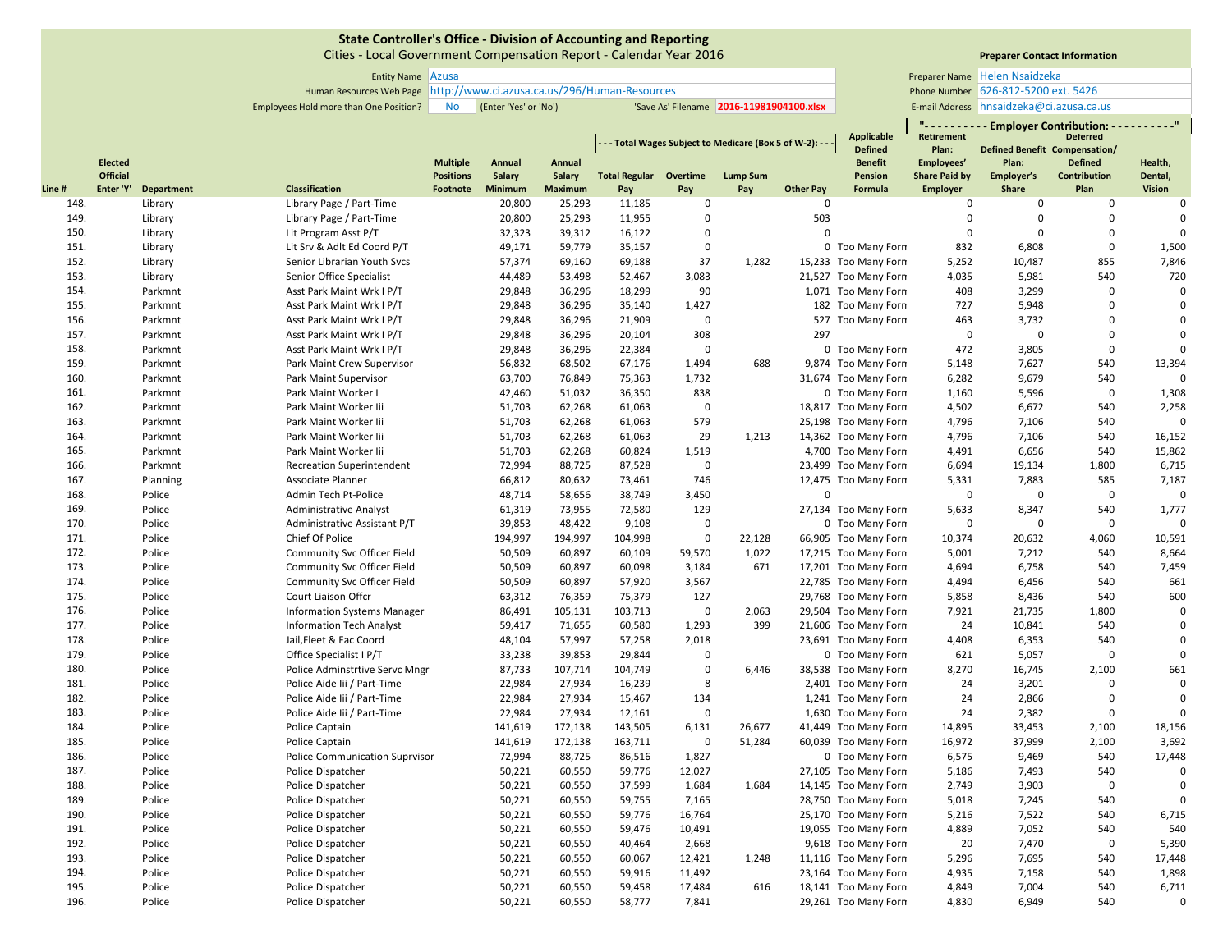Cities ‐ Local Government Compensation Report ‐ Calendar Year 2016

# **Preparer Contact Information**

**" ‐ ‐ ‐ ‐ ‐ ‐ ‐ ‐ ‐ ‐ Employer Contribution: ‐ ‐ ‐ ‐ ‐ ‐ ‐ ‐ ‐ ‐"**

Helen Nsaidzeka 626‐812‐5200 ext. 5426 E-mail Address hnsaidzeka@ci.azusa.ca.us

Entity Name Preparer Name Azusa Human Resources Web Page Phone Number http://www.ci.azusa.ca.us/296/Human‐Resources Employees Hold more than One Position? No (Enter 'Yes' or 'No') 'Save As' Filename 2016-11981904100.xlsx | E-mail Address

**Applicable**

|       |                 |                   |                                       |                  |               |                |                               |             | - - Total Wages Subject to Medicare (Box 5 of W-2): - - |                  | Applicable<br><b>Defined</b> | Retirement<br>Plan:  | <b>Defined Benefit Compensation/</b> | <b>Deterred</b>     |                |
|-------|-----------------|-------------------|---------------------------------------|------------------|---------------|----------------|-------------------------------|-------------|---------------------------------------------------------|------------------|------------------------------|----------------------|--------------------------------------|---------------------|----------------|
|       | <b>Elected</b>  |                   |                                       | <b>Multiple</b>  | Annual        | Annual         |                               |             |                                                         |                  | <b>Benefit</b>               | Employees'           | Plan:                                | <b>Defined</b>      | Health,        |
|       | <b>Official</b> |                   |                                       | <b>Positions</b> | <b>Salary</b> | Salary         | <b>Total Regular Overtime</b> |             | <b>Lump Sum</b>                                         |                  | Pension                      | <b>Share Paid by</b> | Employer's                           | <b>Contribution</b> | Dental,        |
| Line# | Enter 'Y'       | <b>Department</b> | Classification                        | Footnote         | Minimum       | <b>Maximum</b> | Pay                           | Pay         | Pay                                                     | <b>Other Pay</b> | Formula                      | <b>Employer</b>      | Share                                | Plan                | <b>Vision</b>  |
| 148.  |                 | Library           | Library Page / Part-Time              |                  | 20,800        | 25,293         | 11,185                        | 0           |                                                         | $\Omega$         |                              | 0                    | 0                                    | $\mathbf 0$         | $\mathbf 0$    |
| 149.  |                 | Library           | Library Page / Part-Time              |                  | 20,800        | 25,293         | 11,955                        | 0           |                                                         | 503              |                              | $\mathsf 0$          | $\mathbf 0$                          | $\mathbf 0$         | $\overline{0}$ |
| 150.  |                 | Library           | Lit Program Asst P/T                  |                  | 32,323        | 39,312         | 16,122                        | $\Omega$    |                                                         | $\Omega$         |                              | $\Omega$             | $\Omega$                             | $\Omega$            | $\mathbf 0$    |
| 151.  |                 | Library           | Lit Srv & Adlt Ed Coord P/T           |                  | 49,171        | 59,779         | 35,157                        | $\mathbf 0$ |                                                         |                  | 0 Too Many Forn              | 832                  | 6,808                                | $\mathbf 0$         | 1,500          |
| 152.  |                 | Library           | Senior Librarian Youth Svcs           |                  | 57,374        | 69,160         | 69,188                        | 37          | 1,282                                                   |                  | 15,233 Too Many Forn         | 5,252                | 10,487                               | 855                 | 7,846          |
| 153.  |                 | Library           | Senior Office Specialist              |                  | 44,489        | 53,498         | 52,467                        | 3,083       |                                                         |                  | 21,527 Too Many Forn         | 4,035                | 5,981                                | 540                 | 720            |
| 154.  |                 | Parkmnt           | Asst Park Maint Wrk I P/T             |                  | 29,848        | 36,296         | 18,299                        | 90          |                                                         |                  | 1,071 Too Many Forn          | 408                  | 3,299                                | $\mathbf 0$         | $\mathbf 0$    |
| 155.  |                 | Parkmnt           | Asst Park Maint Wrk I P/T             |                  | 29,848        | 36,296         | 35,140                        | 1,427       |                                                         |                  | 182 Too Many Forn            | 727                  | 5,948                                | $\mathbf 0$         | $\mathbf 0$    |
| 156.  |                 | Parkmnt           | Asst Park Maint Wrk I P/T             |                  | 29,848        | 36,296         | 21,909                        | $\mathbf 0$ |                                                         |                  | 527 Too Many Forn            | 463                  | 3,732                                | $\Omega$            | $\Omega$       |
| 157.  |                 | Parkmnt           | Asst Park Maint Wrk I P/T             |                  | 29,848        | 36,296         | 20,104                        | 308         |                                                         | 297              |                              | 0                    | 0                                    | $\mathbf 0$         | $\Omega$       |
| 158.  |                 | Parkmnt           | Asst Park Maint Wrk I P/T             |                  | 29,848        | 36,296         | 22,384                        | $\mathbf 0$ |                                                         |                  | 0 Too Many Forn              | 472                  | 3,805                                | $\mathbf 0$         | $\Omega$       |
| 159.  |                 | Parkmnt           | Park Maint Crew Supervisor            |                  | 56,832        | 68,502         | 67,176                        | 1,494       | 688                                                     |                  | 9,874 Too Many Forn          | 5,148                | 7,627                                | 540                 | 13,394         |
| 160.  |                 | Parkmnt           | Park Maint Supervisor                 |                  | 63,700        | 76,849         | 75,363                        | 1,732       |                                                         |                  | 31,674 Too Many Forn         | 6,282                | 9,679                                | 540                 | $\Omega$       |
| 161.  |                 | Parkmnt           | Park Maint Worker I                   |                  | 42,460        | 51,032         | 36,350                        | 838         |                                                         |                  | 0 Too Many Forn              | 1,160                | 5,596                                | $\mathbf 0$         | 1,308          |
| 162.  |                 | Parkmnt           | Park Maint Worker Iii                 |                  | 51,703        | 62,268         | 61,063                        | $\mathbf 0$ |                                                         |                  | 18,817 Too Many Forn         | 4,502                | 6,672                                | 540                 | 2,258          |
| 163.  |                 | Parkmnt           | Park Maint Worker Iii                 |                  | 51,703        | 62,268         | 61,063                        | 579         |                                                         |                  | 25,198 Too Many Forn         | 4,796                | 7,106                                | 540                 | $\Omega$       |
| 164.  |                 | Parkmnt           | Park Maint Worker Iii                 |                  | 51,703        | 62,268         | 61,063                        | 29          | 1,213                                                   |                  | 14,362 Too Many Forn         | 4,796                | 7,106                                | 540                 | 16,152         |
| 165.  |                 | Parkmnt           | Park Maint Worker Iii                 |                  | 51,703        | 62,268         | 60,824                        | 1,519       |                                                         |                  | 4,700 Too Many Forn          | 4,491                | 6,656                                | 540                 | 15,862         |
| 166.  |                 | Parkmnt           | <b>Recreation Superintendent</b>      |                  | 72,994        | 88,725         | 87,528                        | $\mathbf 0$ |                                                         |                  | 23,499 Too Many Forn         | 6,694                | 19,134                               | 1,800               | 6,715          |
| 167.  |                 | Planning          | Associate Planner                     |                  | 66,812        | 80,632         | 73,461                        | 746         |                                                         |                  | 12,475 Too Many Forn         | 5,331                | 7,883                                | 585                 | 7,187          |
| 168.  |                 | Police            | Admin Tech Pt-Police                  |                  | 48,714        | 58,656         | 38,749                        | 3,450       |                                                         | $\Omega$         |                              | $\Omega$             | $\mathbf 0$                          | $\mathbf 0$         | $\Omega$       |
| 169.  |                 | Police            | <b>Administrative Analyst</b>         |                  | 61,319        | 73,955         | 72,580                        | 129         |                                                         |                  | 27,134 Too Many Forn         | 5,633                | 8,347                                | 540                 | 1,777          |
| 170.  |                 | Police            | Administrative Assistant P/T          |                  | 39,853        | 48,422         | 9,108                         | $\mathbf 0$ |                                                         |                  | 0 Too Many Forn              | $\mathbf 0$          | $\mathbf 0$                          | $\mathbf 0$         | $\mathbf 0$    |
| 171.  |                 | Police            | Chief Of Police                       |                  | 194,997       | 194,997        | 104,998                       | $\mathbf 0$ | 22,128                                                  |                  | 66,905 Too Many Forn         | 10,374               | 20,632                               | 4,060               | 10,591         |
| 172.  |                 | Police            | <b>Community Svc Officer Field</b>    |                  | 50,509        | 60,897         | 60,109                        | 59,570      | 1,022                                                   |                  | 17,215 Too Many Forn         | 5,001                | 7,212                                | 540                 | 8,664          |
| 173.  |                 | Police            | Community Svc Officer Field           |                  | 50,509        | 60,897         | 60,098                        | 3,184       | 671                                                     |                  | 17,201 Too Many Forn         | 4,694                | 6,758                                | 540                 | 7,459          |
| 174.  |                 | Police            | Community Svc Officer Field           |                  | 50,509        | 60,897         | 57,920                        | 3,567       |                                                         |                  | 22,785 Too Many Forn         | 4,494                | 6,456                                | 540                 | 661            |
| 175.  |                 | Police            | Court Liaison Offcr                   |                  | 63,312        | 76,359         | 75,379                        | 127         |                                                         |                  | 29,768 Too Many Forn         | 5,858                | 8,436                                | 540                 | 600            |
| 176.  |                 | Police            | <b>Information Systems Manager</b>    |                  | 86,491        | 105,131        | 103,713                       | $\mathbf 0$ | 2,063                                                   |                  | 29,504 Too Many Forn         | 7,921                | 21,735                               | 1,800               | $\mathbf 0$    |
| 177.  |                 | Police            | <b>Information Tech Analyst</b>       |                  | 59,417        | 71,655         | 60,580                        | 1,293       | 399                                                     |                  | 21,606 Too Many Forn         | 24                   | 10,841                               | 540                 | $\Omega$       |
| 178.  |                 | Police            | Jail, Fleet & Fac Coord               |                  | 48,104        | 57,997         | 57,258                        | 2,018       |                                                         |                  | 23,691 Too Many Forn         | 4,408                | 6,353                                | 540                 | $\mathbf 0$    |
| 179.  |                 | Police            | Office Specialist I P/T               |                  | 33,238        | 39,853         | 29,844                        | $\mathbf 0$ |                                                         |                  | 0 Too Many Forn              | 621                  | 5,057                                | $\mathbf 0$         | $\Omega$       |
| 180.  |                 | Police            | Police Adminstrtive Servc Mngr        |                  | 87,733        | 107,714        | 104,749                       | $\mathbf 0$ | 6,446                                                   |                  | 38,538 Too Many Forn         | 8,270                | 16,745                               | 2,100               | 661            |
| 181.  |                 | Police            | Police Aide Iii / Part-Time           |                  | 22,984        | 27,934         | 16,239                        | 8           |                                                         |                  | 2,401 Too Many Forn          | 24                   | 3,201                                | $\mathbf 0$         | $\Omega$       |
| 182.  |                 | Police            | Police Aide lii / Part-Time           |                  | 22,984        | 27,934         | 15,467                        | 134         |                                                         |                  | 1,241 Too Many Forn          | 24                   | 2,866                                | $\pmb{0}$           | $\mathbf 0$    |
| 183.  |                 | Police            | Police Aide Iii / Part-Time           |                  | 22,984        | 27,934         | 12,161                        | $\mathbf 0$ |                                                         |                  | 1,630 Too Many Forn          | 24                   | 2,382                                | $\mathbf 0$         | $\Omega$       |
| 184.  |                 | Police            | Police Captain                        |                  | 141,619       | 172,138        | 143,505                       | 6,131       | 26,677                                                  |                  | 41,449 Too Many Forn         | 14,895               | 33,453                               | 2,100               | 18,156         |
| 185.  |                 | Police            | Police Captain                        |                  | 141,619       | 172,138        | 163,711                       | $\mathbf 0$ | 51,284                                                  |                  | 60,039 Too Many Forn         | 16,972               | 37,999                               | 2,100               | 3,692          |
| 186.  |                 | Police            | <b>Police Communication Suprvisor</b> |                  | 72,994        | 88,725         | 86,516                        | 1,827       |                                                         |                  | 0 Too Many Forn              | 6,575                | 9,469                                | 540                 | 17,448         |
| 187.  |                 | Police            | Police Dispatcher                     |                  | 50,221        | 60,550         | 59,776                        | 12,027      |                                                         |                  | 27,105 Too Many Forn         | 5,186                | 7,493                                | 540                 | $\Omega$       |
| 188.  |                 | Police            | Police Dispatcher                     |                  | 50,221        | 60,550         | 37,599                        | 1,684       | 1,684                                                   |                  | 14,145 Too Many Forn         | 2,749                | 3,903                                | $\mathbf 0$         | $\Omega$       |
| 189.  |                 | Police            | Police Dispatcher                     |                  | 50,221        | 60,550         | 59,755                        | 7,165       |                                                         |                  | 28,750 Too Many Forn         | 5,018                | 7,245                                | 540                 | $\Omega$       |
| 190.  |                 | Police            | Police Dispatcher                     |                  | 50,221        | 60,550         | 59,776                        | 16,764      |                                                         |                  | 25,170 Too Many Forn         | 5,216                | 7,522                                | 540                 | 6,715          |
| 191.  |                 | Police            | Police Dispatcher                     |                  | 50,221        | 60,550         | 59,476                        | 10,491      |                                                         |                  | 19,055 Too Many Forn         | 4,889                | 7,052                                | 540                 | 540            |
| 192.  |                 | Police            | Police Dispatcher                     |                  | 50,221        | 60,550         | 40,464                        | 2,668       |                                                         |                  | 9,618 Too Many Forn          | 20                   | 7,470                                | $\mathbf 0$         | 5,390          |
| 193.  |                 | Police            | Police Dispatcher                     |                  | 50,221        | 60,550         | 60,067                        | 12,421      | 1,248                                                   |                  | 11,116 Too Many Forn         | 5,296                | 7,695                                | 540                 | 17,448         |
| 194.  |                 | Police            | Police Dispatcher                     |                  | 50,221        | 60,550         | 59,916                        | 11,492      |                                                         |                  | 23,164 Too Many Forn         | 4,935                | 7,158                                | 540                 | 1,898          |
| 195.  |                 | Police            | Police Dispatcher                     |                  | 50,221        | 60,550         | 59,458                        | 17,484      | 616                                                     |                  | 18,141 Too Many Forn         | 4,849                | 7,004                                | 540                 | 6,711          |
| 196.  |                 | Police            | Police Dispatcher                     |                  | 50,221        | 60,550         | 58,777                        | 7,841       |                                                         |                  | 29,261 Too Many Forn         | 4,830                | 6,949                                | 540                 | $\mathbf 0$    |
|       |                 |                   |                                       |                  |               |                |                               |             |                                                         |                  |                              |                      |                                      |                     |                |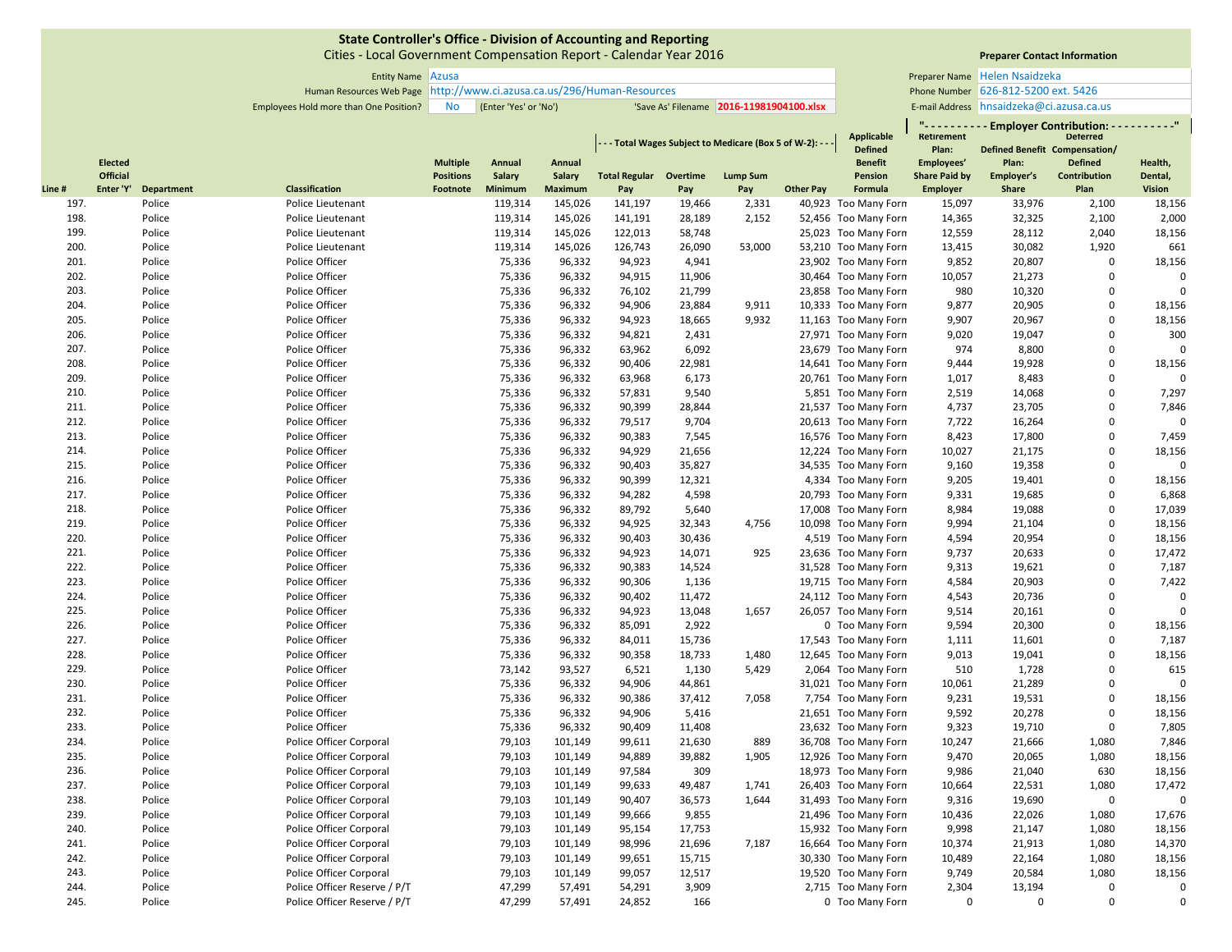Cities ‐ Local Government Compensation Report ‐ Calendar Year 2016

# **Preparer Contact Information**

**" ‐ ‐ ‐ ‐ ‐ ‐ ‐ ‐ ‐ ‐ Employer Contribution: ‐ ‐ ‐ ‐ ‐ ‐ ‐ ‐ ‐ ‐"**

| Entity Name   Azusa |           |                                                          |                                            | <b>Preparer Name</b> Helen Nsaidzeka        |
|---------------------|-----------|----------------------------------------------------------|--------------------------------------------|---------------------------------------------|
|                     |           | s Web Page http://www.ci.azusa.ca.us/296/Human-Resources |                                            | Phone Number 626-812-5200 ext. 5426         |
| ne Position?        | <b>No</b> | (Enter 'Yes' or 'No')                                    | "Save As' Filename   2016-11981904100.xlsx | E-mail Address $hnsaidzeka@ci. azusa.ca.us$ |

Human Resources Web Page Phone Number http://www.ci.azusa.ca.us/296/Human‐Resources

Employees Hold more than One Position? No (Enter 'Yes' or 'No') 'Save As' Filename 2016-11981904100.xlsx | E-mail Address

**Applicable** 

|       |                 |                   |                              |                  |               |                |                               |        | - - Total Wages Subject to Medicare (Box 5 of W-2): - - |                  | Applicable<br><b>Defined</b> | Retirement<br>Plan:  | <b>Defined Benefit Compensation/</b> | <b>Deterred</b> |               |
|-------|-----------------|-------------------|------------------------------|------------------|---------------|----------------|-------------------------------|--------|---------------------------------------------------------|------------------|------------------------------|----------------------|--------------------------------------|-----------------|---------------|
|       | <b>Elected</b>  |                   |                              | <b>Multiple</b>  | Annual        | Annual         |                               |        |                                                         |                  | <b>Benefit</b>               | Employees'           | Plan:                                | <b>Defined</b>  | Health,       |
|       | <b>Official</b> |                   |                              | <b>Positions</b> | <b>Salary</b> | Salary         | <b>Total Regular Overtime</b> |        | <b>Lump Sum</b>                                         |                  | Pension                      | <b>Share Paid by</b> | Employer's                           | Contribution    | Dental,       |
| Line# | Enter 'Y'       | <b>Department</b> | Classification               | Footnote         | Minimum       | <b>Maximum</b> | Pay                           | Pay    | Pay                                                     | <b>Other Pay</b> | Formula                      | <b>Employer</b>      | Share                                | Plan            | <b>Vision</b> |
| 197.  |                 | Police            | Police Lieutenant            |                  | 119,314       | 145,026        | 141,197                       | 19,466 | 2,331                                                   |                  | 40,923 Too Many Forn         | 15,097               | 33,976                               | 2,100           | 18,156        |
| 198.  |                 | Police            | Police Lieutenant            |                  | 119,314       | 145,026        | 141,191                       | 28,189 | 2,152                                                   |                  | 52,456 Too Many Forn         | 14,365               | 32,325                               | 2,100           | 2,000         |
| 199.  |                 | Police            | Police Lieutenant            |                  | 119,314       | 145,026        | 122,013                       | 58,748 |                                                         |                  | 25,023 Too Many Forn         | 12,559               | 28,112                               | 2,040           | 18,156        |
| 200.  |                 | Police            | Police Lieutenant            |                  | 119,314       | 145,026        | 126,743                       | 26,090 | 53,000                                                  |                  | 53,210 Too Many Forn         | 13,415               | 30,082                               | 1,920           | 661           |
| 201.  |                 | Police            | Police Officer               |                  | 75,336        | 96,332         | 94,923                        | 4,941  |                                                         |                  | 23,902 Too Many Forn         | 9,852                | 20,807                               | 0               | 18,156        |
| 202.  |                 | Police            | Police Officer               |                  | 75,336        | 96,332         | 94,915                        | 11,906 |                                                         |                  | 30,464 Too Many Forn         | 10,057               | 21,273                               | $\Omega$        | $\Omega$      |
| 203.  |                 | Police            | Police Officer               |                  | 75,336        | 96,332         | 76,102                        | 21,799 |                                                         |                  | 23,858 Too Many Forn         | 980                  | 10,320                               | $\mathbf 0$     | $\Omega$      |
| 204.  |                 | Police            | Police Officer               |                  | 75,336        | 96,332         | 94,906                        | 23,884 | 9,911                                                   |                  | 10,333 Too Many Forn         | 9,877                | 20,905                               | $\mathbf 0$     | 18,156        |
| 205.  |                 | Police            | Police Officer               |                  | 75,336        | 96,332         | 94,923                        | 18,665 | 9,932                                                   |                  | 11,163 Too Many Forn         | 9,907                | 20,967                               | $\mathbf 0$     | 18,156        |
| 206.  |                 | Police            | Police Officer               |                  | 75,336        | 96,332         | 94,821                        | 2,431  |                                                         |                  | 27,971 Too Many Forn         | 9,020                | 19,047                               | $\mathbf 0$     | 300           |
| 207.  |                 | Police            | Police Officer               |                  | 75,336        | 96,332         | 63,962                        | 6,092  |                                                         |                  | 23,679 Too Many Forn         | 974                  | 8,800                                | $\mathbf 0$     | $\Omega$      |
| 208.  |                 | Police            | Police Officer               |                  | 75,336        | 96,332         | 90,406                        | 22,981 |                                                         |                  | 14,641 Too Many Forn         | 9,444                | 19,928                               | $\mathbf 0$     | 18,156        |
| 209.  |                 | Police            | Police Officer               |                  | 75,336        | 96,332         | 63,968                        | 6,173  |                                                         |                  | 20,761 Too Many Forn         | 1,017                | 8,483                                | $\mathbf 0$     | $\Omega$      |
| 210.  |                 | Police            | Police Officer               |                  | 75,336        | 96,332         | 57,831                        | 9,540  |                                                         |                  | 5,851 Too Many Forn          | 2,519                | 14,068                               | $\mathbf 0$     | 7,297         |
| 211.  |                 | Police            | Police Officer               |                  | 75,336        | 96,332         | 90,399                        | 28,844 |                                                         |                  | 21,537 Too Many Forn         | 4,737                | 23,705                               | $\mathbf 0$     | 7,846         |
| 212.  |                 | Police            | Police Officer               |                  | 75,336        | 96,332         | 79,517                        | 9,704  |                                                         |                  | 20,613 Too Many Forn         | 7,722                | 16,264                               | $\mathbf 0$     | $\Omega$      |
| 213.  |                 | Police            | Police Officer               |                  | 75,336        | 96,332         | 90,383                        | 7,545  |                                                         |                  | 16,576 Too Many Forn         | 8,423                | 17,800                               | $\Omega$        | 7,459         |
| 214.  |                 | Police            | Police Officer               |                  | 75,336        | 96,332         | 94,929                        | 21,656 |                                                         |                  | 12,224 Too Many Forn         | 10,027               | 21,175                               | $\mathbf 0$     | 18,156        |
| 215.  |                 | Police            | Police Officer               |                  | 75,336        | 96,332         | 90,403                        | 35,827 |                                                         |                  | 34,535 Too Many Forn         | 9,160                | 19,358                               | $\mathbf 0$     | $\mathbf 0$   |
| 216.  |                 | Police            | Police Officer               |                  | 75,336        | 96,332         | 90,399                        | 12,321 |                                                         |                  | 4,334 Too Many Forn          | 9,205                | 19,401                               | $\mathbf 0$     | 18,156        |
| 217.  |                 | Police            | Police Officer               |                  | 75,336        | 96,332         | 94,282                        | 4,598  |                                                         |                  | 20,793 Too Many Forn         | 9,331                | 19,685                               | $\Omega$        | 6,868         |
| 218.  |                 | Police            | Police Officer               |                  | 75,336        | 96,332         | 89,792                        | 5,640  |                                                         |                  | 17,008 Too Many Forn         | 8,984                | 19,088                               | $\Omega$        | 17,039        |
| 219.  |                 | Police            | Police Officer               |                  | 75,336        | 96,332         | 94,925                        | 32,343 | 4,756                                                   |                  | 10,098 Too Many Forn         | 9,994                | 21,104                               | $\mathbf 0$     | 18,156        |
| 220.  |                 | Police            | Police Officer               |                  | 75,336        | 96,332         | 90,403                        | 30,436 |                                                         |                  | 4,519 Too Many Forn          | 4,594                | 20,954                               | $\mathbf 0$     | 18,156        |
| 221.  |                 | Police            | Police Officer               |                  | 75,336        | 96,332         | 94,923                        | 14,071 | 925                                                     |                  | 23,636 Too Many Forn         | 9,737                | 20,633                               | $\Omega$        | 17,472        |
| 222.  |                 | Police            | Police Officer               |                  | 75,336        | 96,332         | 90,383                        | 14,524 |                                                         |                  | 31,528 Too Many Forn         | 9,313                | 19,621                               | $\mathbf 0$     | 7,187         |
| 223.  |                 | Police            | Police Officer               |                  | 75,336        | 96,332         | 90,306                        | 1,136  |                                                         |                  | 19,715 Too Many Forn         | 4,584                | 20,903                               | $\mathbf 0$     | 7,422         |
| 224.  |                 | Police            | Police Officer               |                  | 75,336        | 96,332         | 90,402                        | 11,472 |                                                         |                  | 24,112 Too Many Forn         | 4,543                | 20,736                               | $\mathbf 0$     | $\mathbf 0$   |
| 225.  |                 | Police            | Police Officer               |                  | 75,336        | 96,332         | 94,923                        | 13,048 | 1,657                                                   |                  | 26,057 Too Many Forn         | 9,514                | 20,161                               | $\Omega$        | $\Omega$      |
| 226.  |                 | Police            | Police Officer               |                  | 75,336        | 96,332         | 85,091                        | 2,922  |                                                         |                  | 0 Too Many Forn              | 9,594                | 20,300                               | $\mathbf 0$     | 18,156        |
| 227.  |                 | Police            | Police Officer               |                  | 75,336        | 96,332         | 84,011                        | 15,736 |                                                         |                  | 17,543 Too Many Forn         | 1,111                | 11,601                               | $\mathbf 0$     | 7,187         |
| 228.  |                 | Police            | Police Officer               |                  | 75,336        | 96,332         | 90,358                        | 18,733 | 1,480                                                   |                  | 12,645 Too Many Forn         | 9,013                | 19,041                               | $\mathbf 0$     | 18,156        |
| 229.  |                 | Police            | Police Officer               |                  | 73,142        | 93,527         | 6,521                         | 1,130  | 5,429                                                   |                  | 2,064 Too Many Forn          | 510                  | 1,728                                | $\Omega$        | 615           |
| 230.  |                 | Police            | Police Officer               |                  | 75,336        | 96,332         | 94,906                        | 44,861 |                                                         |                  | 31,021 Too Many Forn         | 10,061               | 21,289                               | $\mathbf 0$     | $\Omega$      |
| 231.  |                 | Police            | Police Officer               |                  | 75,336        | 96,332         | 90,386                        | 37,412 | 7,058                                                   |                  | 7,754 Too Many Forn          | 9,231                | 19,531                               | $\mathbf 0$     | 18,156        |
| 232.  |                 | Police            | Police Officer               |                  | 75,336        | 96,332         | 94,906                        | 5,416  |                                                         |                  | 21,651 Too Many Forn         | 9,592                | 20,278                               | $\mathbf 0$     | 18,156        |
| 233.  |                 | Police            | Police Officer               |                  | 75,336        | 96,332         | 90,409                        | 11,408 |                                                         |                  | 23,632 Too Many Forn         | 9,323                | 19,710                               | $\Omega$        | 7,805         |
| 234.  |                 | Police            | Police Officer Corporal      |                  | 79,103        | 101,149        | 99,611                        | 21,630 | 889                                                     |                  | 36,708 Too Many Forn         | 10,247               | 21,666                               | 1,080           | 7,846         |
| 235.  |                 | Police            | Police Officer Corporal      |                  | 79,103        | 101,149        | 94,889                        | 39,882 | 1,905                                                   |                  | 12,926 Too Many Forn         | 9,470                | 20,065                               | 1,080           | 18,156        |
| 236.  |                 | Police            | Police Officer Corporal      |                  | 79,103        | 101,149        | 97,584                        | 309    |                                                         |                  | 18,973 Too Many Forn         | 9,986                | 21,040                               | 630             | 18,156        |
| 237.  |                 | Police            | Police Officer Corporal      |                  | 79,103        | 101,149        | 99,633                        | 49,487 | 1,741                                                   |                  | 26,403 Too Many Forn         | 10,664               | 22,531                               | 1,080           | 17,472        |
| 238.  |                 | Police            | Police Officer Corporal      |                  | 79,103        | 101,149        | 90,407                        | 36,573 | 1,644                                                   |                  | 31,493 Too Many Forn         | 9,316                | 19,690                               | $\mathbf 0$     | $\mathbf 0$   |
| 239.  |                 | Police            | Police Officer Corporal      |                  | 79,103        | 101,149        | 99,666                        | 9,855  |                                                         |                  | 21,496 Too Many Forn         | 10,436               | 22,026                               | 1,080           | 17,676        |
| 240.  |                 | Police            | Police Officer Corporal      |                  | 79,103        | 101,149        | 95,154                        | 17,753 |                                                         |                  | 15,932 Too Many Forn         | 9,998                | 21,147                               | 1,080           | 18,156        |
| 241.  |                 | Police            | Police Officer Corporal      |                  | 79,103        | 101,149        | 98,996                        | 21,696 | 7,187                                                   |                  | 16,664 Too Many Forn         | 10,374               | 21,913                               | 1,080           | 14,370        |
| 242.  |                 | Police            | Police Officer Corporal      |                  | 79,103        | 101,149        | 99,651                        | 15,715 |                                                         |                  | 30,330 Too Many Forn         | 10,489               | 22,164                               | 1,080           | 18,156        |
| 243.  |                 | Police            | Police Officer Corporal      |                  | 79,103        | 101,149        | 99,057                        | 12,517 |                                                         |                  | 19,520 Too Many Forn         | 9,749                | 20,584                               | 1,080           | 18,156        |
| 244.  |                 | Police            | Police Officer Reserve / P/T |                  | 47,299        | 57,491         | 54,291                        | 3,909  |                                                         |                  | 2,715 Too Many Forn          | 2,304                | 13,194                               | $\mathbf 0$     | $\Omega$      |
| 245.  |                 | Police            | Police Officer Reserve / P/T |                  | 47,299        | 57,491         | 24,852                        | 166    |                                                         |                  | 0 Too Many Forn              | $\mathbf 0$          | $\mathbf 0$                          | $\mathbf 0$     | $\Omega$      |
|       |                 |                   |                              |                  |               |                |                               |        |                                                         |                  |                              |                      |                                      |                 |               |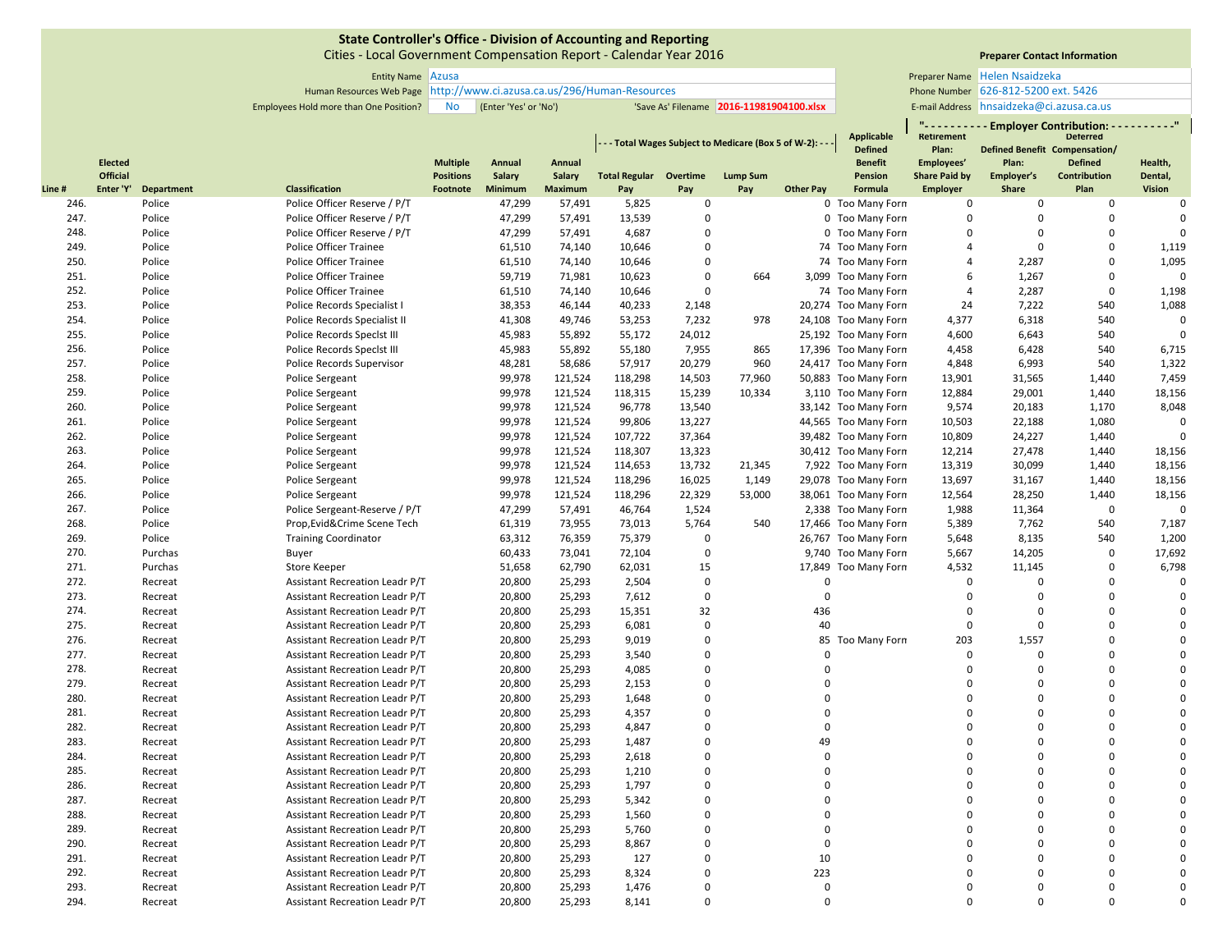Cities ‐ Local Government Compensation Report ‐ Calendar Year 2016

# **Preparer Contact Information**

Entity Name Preparer Name Azusa Helen Nsaidzeka 626‐812‐5200 ext. 5426 E-mail Address hnsaidzeka@ci.azusa.ca.us

Human Resources Web Page Phone Number http://www.ci.azusa.ca.us/296/Human‐Resources

Employees Hold more than One Position? No (Enter 'Yes' or 'No') 'Save As' Filename 2016-11981904100.xlsx | E-mail Address

|       |                |            |                                |                  |         |                |                                                             |             |                 |                  | <b>Applicable</b>    | <b>Retirement</b>    | <b>Employer Contribution:</b>        | <b>Deterred</b> | . <sup>0</sup> |
|-------|----------------|------------|--------------------------------|------------------|---------|----------------|-------------------------------------------------------------|-------------|-----------------|------------------|----------------------|----------------------|--------------------------------------|-----------------|----------------|
|       |                |            |                                |                  |         |                | - - - Total Wages Subject to Medicare (Box 5 of W-2): - - - |             |                 |                  | <b>Defined</b>       | Plan:                | <b>Defined Benefit Compensation/</b> |                 |                |
|       | <b>Elected</b> |            |                                | <b>Multiple</b>  | Annual  | Annual         |                                                             |             |                 |                  | <b>Benefit</b>       | Employees'           | Plan:                                | <b>Defined</b>  | Health,        |
|       | Official       |            |                                | <b>Positions</b> | Salary  | <b>Salary</b>  | <b>Total Regular Overtime</b>                               |             | <b>Lump Sum</b> |                  | Pension              | <b>Share Paid by</b> | Employer's                           | Contribution    | Dental,        |
| Line# | Enter 'Y'      | Department | Classification                 | Footnote         | Minimum | <b>Maximum</b> | Pay                                                         | Pay         | Pay             | <b>Other Pay</b> | Formula              | <b>Employer</b>      | Share                                | Plan            | <b>Vision</b>  |
| 246.  |                | Police     | Police Officer Reserve / P/T   |                  | 47,299  | 57,491         | 5,825                                                       | 0           |                 |                  | 0 Too Many Forn      | 0                    | 0                                    | $\mathbf 0$     | $\mathbf 0$    |
| 247.  |                | Police     | Police Officer Reserve / P/T   |                  | 47,299  | 57,491         | 13,539                                                      | $\Omega$    |                 |                  | 0 Too Many Forn      | $\mathbf 0$          | 0                                    | $\Omega$        | $\Omega$       |
| 248.  |                | Police     | Police Officer Reserve / P/T   |                  | 47,299  | 57,491         | 4,687                                                       | $\Omega$    |                 |                  | 0 Too Many Forn      | $\Omega$             | $\Omega$                             | $\Omega$        | $\mathbf 0$    |
| 249.  |                | Police     | Police Officer Trainee         |                  | 61,510  | 74,140         | 10,646                                                      | $\Omega$    |                 |                  | 74 Too Many Forn     | 4                    | $\mathbf 0$                          | $\Omega$        | 1,119          |
| 250.  |                | Police     | <b>Police Officer Trainee</b>  |                  | 61,510  | 74,140         | 10,646                                                      | 0           |                 |                  | 74 Too Many Forn     | 4                    | 2,287                                | $\Omega$        | 1,095          |
| 251.  |                | Police     | Police Officer Trainee         |                  | 59,719  | 71,981         | 10,623                                                      | $\Omega$    | 664             |                  | 3,099 Too Many Forn  | 6                    | 1,267                                | $\Omega$        | $\Omega$       |
| 252.  |                | Police     | Police Officer Trainee         |                  | 61,510  | 74,140         | 10,646                                                      | $\Omega$    |                 |                  | 74 Too Many Forn     | 4                    | 2,287                                | $\Omega$        | 1,198          |
| 253.  |                | Police     | Police Records Specialist I    |                  | 38,353  | 46,144         | 40,233                                                      | 2,148       |                 |                  | 20,274 Too Many Forn | 24                   | 7,222                                | 540             | 1,088          |
| 254.  |                | Police     | Police Records Specialist II   |                  | 41,308  | 49,746         | 53,253                                                      | 7,232       | 978             |                  | 24,108 Too Many Forn | 4,377                | 6,318                                | 540             | $\mathbf 0$    |
| 255.  |                | Police     | Police Records Speclst III     |                  | 45,983  | 55,892         | 55,172                                                      | 24,012      |                 |                  | 25,192 Too Many Forn | 4,600                | 6,643                                | 540             | $\mathbf 0$    |
| 256.  |                | Police     | Police Records Speclst III     |                  | 45,983  | 55,892         | 55,180                                                      | 7,955       | 865             |                  | 17,396 Too Many Forn | 4,458                | 6,428                                | 540             | 6,715          |
| 257.  |                | Police     | Police Records Supervisor      |                  | 48,281  | 58,686         | 57,917                                                      | 20,279      | 960             |                  | 24,417 Too Many Forn | 4,848                | 6,993                                | 540             | 1,322          |
| 258.  |                | Police     | Police Sergeant                |                  | 99,978  | 121,524        | 118,298                                                     | 14,503      | 77,960          |                  | 50,883 Too Many Forn | 13,901               | 31,565                               | 1,440           | 7,459          |
| 259.  |                | Police     | Police Sergeant                |                  | 99,978  | 121,524        | 118,315                                                     | 15,239      | 10,334          |                  | 3,110 Too Many Forn  | 12,884               | 29,001                               | 1,440           | 18,156         |
| 260.  |                | Police     | Police Sergeant                |                  | 99,978  | 121,524        | 96,778                                                      | 13,540      |                 |                  | 33,142 Too Many Forn | 9,574                | 20,183                               | 1,170           | 8,048          |
| 261.  |                | Police     | Police Sergeant                |                  | 99,978  | 121,524        | 99,806                                                      | 13,227      |                 |                  | 44,565 Too Many Forn | 10,503               | 22,188                               | 1,080           | $\Omega$       |
| 262.  |                | Police     | Police Sergeant                |                  | 99,978  | 121,524        | 107,722                                                     | 37,364      |                 |                  | 39,482 Too Many Forn | 10,809               | 24,227                               | 1,440           | $\Omega$       |
| 263.  |                | Police     | Police Sergeant                |                  | 99,978  | 121,524        | 118,307                                                     | 13,323      |                 |                  | 30,412 Too Many Forn | 12,214               | 27,478                               | 1,440           | 18,156         |
| 264.  |                | Police     | Police Sergeant                |                  | 99,978  | 121,524        | 114,653                                                     | 13,732      | 21,345          |                  | 7,922 Too Many Forn  | 13,319               | 30,099                               | 1,440           | 18,156         |
| 265.  |                | Police     | Police Sergeant                |                  | 99,978  | 121,524        | 118,296                                                     | 16,025      | 1,149           |                  | 29,078 Too Many Forn | 13,697               | 31,167                               | 1,440           | 18,156         |
| 266.  |                | Police     | <b>Police Sergeant</b>         |                  | 99,978  | 121,524        | 118,296                                                     | 22,329      | 53,000          |                  | 38,061 Too Many Forn | 12,564               | 28,250                               | 1,440           | 18,156         |
| 267.  |                | Police     | Police Sergeant-Reserve / P/T  |                  | 47,299  | 57,491         | 46,764                                                      | 1,524       |                 |                  | 2,338 Too Many Forn  | 1,988                | 11,364                               | $\Omega$        | $\Omega$       |
| 268.  |                | Police     | Prop, Evid& Crime Scene Tech   |                  | 61,319  | 73,955         | 73,013                                                      | 5,764       | 540             |                  | 17,466 Too Many Forn | 5,389                | 7,762                                | 540             | 7,187          |
| 269.  |                | Police     | <b>Training Coordinator</b>    |                  | 63,312  | 76,359         | 75,379                                                      | $\Omega$    |                 |                  | 26,767 Too Many Forn | 5,648                | 8,135                                | 540             | 1,200          |
| 270.  |                | Purchas    | Buyer                          |                  | 60,433  | 73,041         | 72,104                                                      | $\mathbf 0$ |                 |                  | 9,740 Too Many Forn  | 5,667                | 14,205                               | $\mathbf 0$     | 17,692         |
| 271.  |                | Purchas    | <b>Store Keeper</b>            |                  | 51,658  | 62,790         | 62,031                                                      | 15          |                 |                  | 17,849 Too Many Forn | 4,532                | 11,145                               | $\mathbf 0$     | 6,798          |
| 272.  |                | Recreat    | Assistant Recreation Leadr P/T |                  | 20,800  | 25,293         | 2,504                                                       | $\mathbf 0$ |                 | $\mathbf 0$      |                      | $\mathbf 0$          | 0                                    | $\Omega$        | $\mathbf 0$    |
| 273.  |                | Recreat    | Assistant Recreation Leadr P/T |                  | 20,800  | 25,293         | 7,612                                                       | $\Omega$    |                 | $\Omega$         |                      | 0                    | $\Omega$                             | $\Omega$        | $\mathbf 0$    |
| 274.  |                | Recreat    | Assistant Recreation Leadr P/T |                  | 20,800  | 25,293         | 15,351                                                      | 32          |                 | 436              |                      | $\Omega$             | $\Omega$                             | $\Omega$        | $\Omega$       |
| 275.  |                | Recreat    | Assistant Recreation Leadr P/T |                  | 20,800  | 25,293         | 6,081                                                       | $\Omega$    |                 | 40               |                      | $\mathbf 0$          | $\Omega$                             | $\Omega$        | $\Omega$       |
| 276.  |                | Recreat    | Assistant Recreation Leadr P/T |                  | 20,800  | 25,293         | 9,019                                                       | $\mathbf 0$ |                 |                  | 85 Too Many Forn     | 203                  | 1,557                                | $\Omega$        | $\Omega$       |
| 277.  |                | Recreat    | Assistant Recreation Leadr P/T |                  | 20,800  | 25,293         | 3,540                                                       | $\Omega$    |                 | $\Omega$         |                      | 0                    | $\Omega$                             | $\Omega$        | $\Omega$       |
| 278.  |                | Recreat    | Assistant Recreation Leadr P/T |                  | 20,800  | 25,293         | 4,085                                                       | $\Omega$    |                 | $\Omega$         |                      | $\mathbf 0$          | $\Omega$                             | $\Omega$        | $\Omega$       |
| 279.  |                | Recreat    | Assistant Recreation Leadr P/T |                  | 20,800  | 25,293         | 2,153                                                       | 0           |                 | $\Omega$         |                      | $\mathbf 0$          | 0                                    | $\Omega$        | $\Omega$       |
| 280.  |                | Recreat    | Assistant Recreation Leadr P/T |                  | 20,800  | 25,293         | 1,648                                                       | 0           |                 | $\Omega$         |                      | $\mathbf 0$          | 0                                    | $\Omega$        | $\Omega$       |
| 281.  |                | Recreat    | Assistant Recreation Leadr P/T |                  | 20,800  | 25,293         | 4,357                                                       | $\Omega$    |                 | $\Omega$         |                      | $\Omega$             | $\Omega$                             | $\Omega$        | $\Omega$       |
| 282.  |                | Recreat    | Assistant Recreation Leadr P/T |                  | 20,800  | 25,293         | 4,847                                                       | 0           |                 | $\Omega$         |                      | $\Omega$             | $\Omega$                             | $\Omega$        | $\Omega$       |
| 283.  |                | Recreat    | Assistant Recreation Leadr P/T |                  | 20,800  | 25,293         | 1,487                                                       | $\Omega$    |                 | 49               |                      | $\Omega$             | $\Omega$                             | $\Omega$        | $\Omega$       |
| 284.  |                | Recreat    | Assistant Recreation Leadr P/T |                  | 20,800  | 25,293         | 2,618                                                       | $\mathbf 0$ |                 | $\Omega$         |                      | $\Omega$             | $\Omega$                             | $\Omega$        | $\Omega$       |
| 285.  |                | Recreat    | Assistant Recreation Leadr P/T |                  | 20,800  | 25,293         | 1,210                                                       | $\Omega$    |                 | $\Omega$         |                      | $\Omega$             | $\Omega$                             | $\Omega$        | $\Omega$       |
| 286.  |                | Recreat    | Assistant Recreation Leadr P/T |                  | 20,800  | 25,293         | 1,797                                                       | $\mathbf 0$ |                 | $\Omega$         |                      | $\mathbf 0$          | $\Omega$                             | $\Omega$        | $\Omega$       |
| 287.  |                | Recreat    | Assistant Recreation Leadr P/T |                  | 20,800  | 25,293         | 5,342                                                       | $\mathbf 0$ |                 | $\Omega$         |                      | $\mathbf 0$          | 0                                    | $\Omega$        | $\Omega$       |
| 288.  |                | Recreat    | Assistant Recreation Leadr P/T |                  | 20,800  | 25,293         | 1,560                                                       | $\Omega$    |                 | $\Omega$         |                      | $\Omega$             | $\Omega$                             | $\Omega$        | $\Omega$       |
| 289.  |                | Recreat    | Assistant Recreation Leadr P/T |                  | 20,800  | 25,293         | 5,760                                                       | $\Omega$    |                 | $\Omega$         |                      | $\Omega$             | $\Omega$                             | $\Omega$        | $\Omega$       |
| 290.  |                | Recreat    | Assistant Recreation Leadr P/T |                  | 20,800  | 25,293         | 8,867                                                       | $\mathbf 0$ |                 | $\mathbf 0$      |                      | $\mathbf 0$          | 0                                    | $\mathbf 0$     | $\Omega$       |
| 291.  |                | Recreat    | Assistant Recreation Leadr P/T |                  | 20,800  | 25,293         | 127                                                         | $\Omega$    |                 | 10               |                      | $\Omega$             | $\Omega$                             | $\Omega$        | $\Omega$       |
| 292.  |                | Recreat    | Assistant Recreation Leadr P/T |                  | 20,800  | 25,293         | 8,324                                                       | 0           |                 | 223              |                      | $\Omega$             | $\Omega$                             | $\Omega$        | $\Omega$       |
| 293.  |                | Recreat    | Assistant Recreation Leadr P/T |                  | 20,800  | 25,293         | 1,476                                                       | $\Omega$    |                 | $\Omega$         |                      | $\Omega$             | $\mathbf 0$                          | $\Omega$        | $\Omega$       |
| 294.  |                | Recreat    | Assistant Recreation Leadr P/T |                  | 20,800  | 25,293         | 8,141                                                       | $\Omega$    |                 | $\Omega$         |                      | $\Omega$             | $\Omega$                             | $\Omega$        | $\Omega$       |
|       |                |            |                                |                  |         |                |                                                             |             |                 |                  |                      |                      |                                      |                 |                |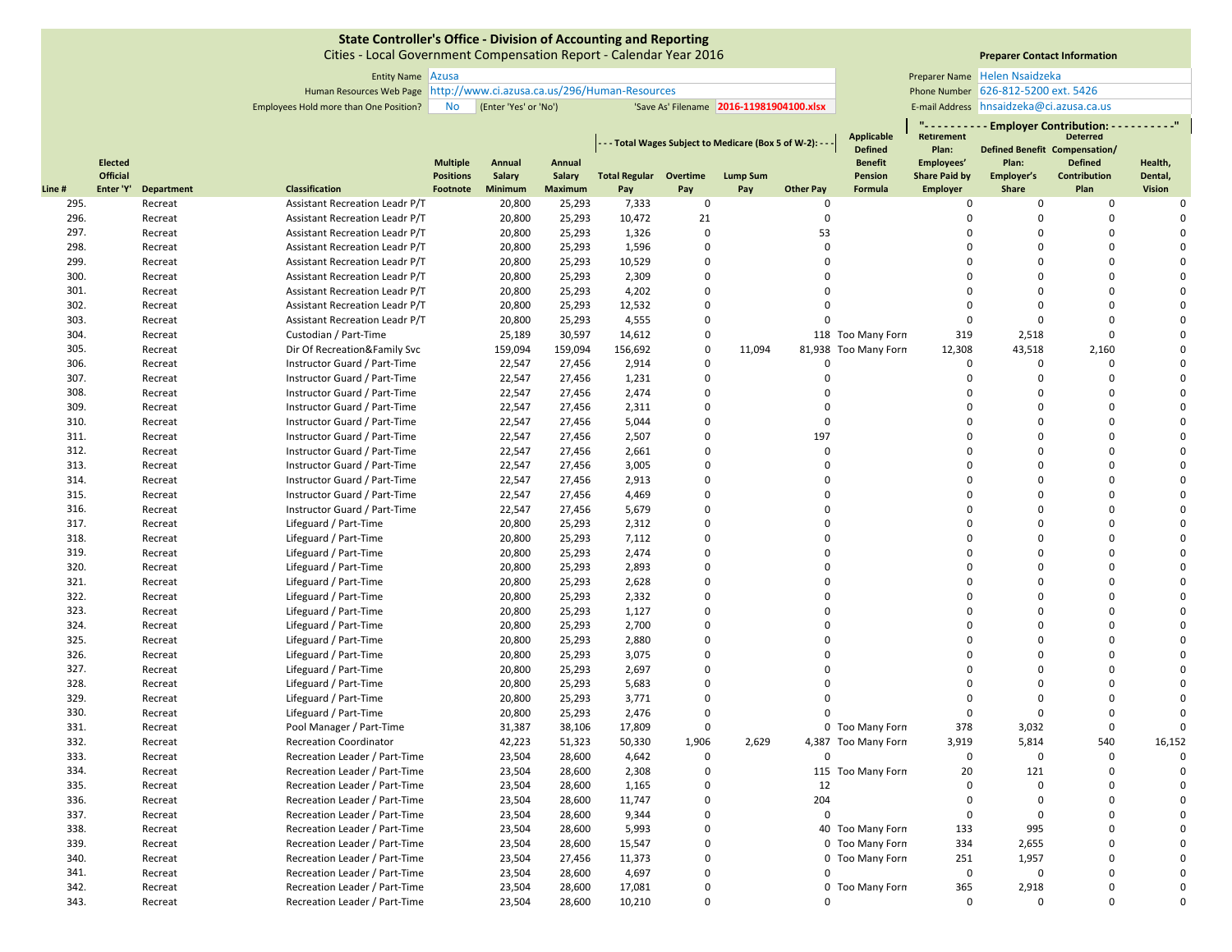Cities ‐ Local Government Compensation Report ‐ Calendar Year 2016

**Preparer Contact Information**

**" ‐ ‐ ‐ ‐ ‐ ‐ ‐ ‐ ‐ ‐ Employer Contribution: ‐ ‐ ‐ ‐ ‐ ‐ ‐ ‐ ‐ ‐"**

Entity Name Preparer Name Azusa Helen Nsaidzeka 626‐812‐5200 ext. 5426 E-mail Address hnsaidzeka@ci.azusa.ca.us

Human Resources Web Page Phone Number http://www.ci.azusa.ca.us/296/Human‐Resources Employees Hold more than One Position? No (Enter 'Yes' or 'No') 'Save As' Filename 2016-11981904100.xlsx | E-mail Address

|       |                |                   |                                       |                  |         |                | - - - Total Wages Subject to Medicare (Box 5 of W-2): - - |             |                 | Applicable<br><b>Defined</b> | <b>Retirement</b><br>Plan: | Defined Benefit Compensation/ | <b>Deterred</b> |                     |               |
|-------|----------------|-------------------|---------------------------------------|------------------|---------|----------------|-----------------------------------------------------------|-------------|-----------------|------------------------------|----------------------------|-------------------------------|-----------------|---------------------|---------------|
|       | <b>Elected</b> |                   |                                       | <b>Multiple</b>  | Annual  | Annual         |                                                           |             |                 |                              | <b>Benefit</b>             | Employees'                    | Plan:           | <b>Defined</b>      | Health,       |
|       | Official       |                   |                                       | <b>Positions</b> | Salary  | Salary         | <b>Total Regular Overtime</b>                             |             | <b>Lump Sum</b> |                              | <b>Pension</b>             | <b>Share Paid by</b>          | Employer's      | <b>Contribution</b> | Dental,       |
| Line# | Enter 'Y'      | <b>Department</b> | <b>Classification</b>                 | Footnote         | Minimum | <b>Maximum</b> | Pay                                                       | Pay         | Pay             | <b>Other Pay</b>             | <b>Formula</b>             | <b>Employer</b>               | Share           | Plan                | <b>Vision</b> |
| 295.  |                | Recreat           | Assistant Recreation Leadr P/T        |                  | 20,800  | 25,293         | 7,333                                                     | $\mathbf 0$ |                 | $\Omega$                     |                            | 0                             | 0               | 0                   | $\Omega$      |
| 296.  |                | Recreat           | <b>Assistant Recreation Leadr P/T</b> |                  | 20,800  | 25,293         | 10,472                                                    | 21          |                 | $\Omega$                     |                            | $\Omega$                      | $\Omega$        | $\mathbf 0$         | $\Omega$      |
| 297.  |                | Recreat           | Assistant Recreation Leadr P/T        |                  | 20,800  | 25,293         | 1,326                                                     | $\Omega$    |                 | 53                           |                            | $\Omega$                      | $\Omega$        | $\Omega$            | $\Omega$      |
| 298.  |                | Recreat           | Assistant Recreation Leadr P/T        |                  | 20,800  | 25,293         | 1,596                                                     | $\Omega$    |                 | $\Omega$                     |                            | $\Omega$                      | $\Omega$        | $\Omega$            | $\Omega$      |
| 299.  |                | Recreat           | Assistant Recreation Leadr P/T        |                  | 20,800  | 25,293         | 10,529                                                    | $\mathbf 0$ |                 | $\Omega$                     |                            | $\Omega$                      | $\Omega$        | $\Omega$            | $\Omega$      |
| 300.  |                | Recreat           | Assistant Recreation Leadr P/T        |                  | 20,800  | 25,293         | 2,309                                                     | $\Omega$    |                 | $\Omega$                     |                            | $\Omega$                      | $\Omega$        | $\Omega$            | $\Omega$      |
| 301.  |                | Recreat           | <b>Assistant Recreation Leadr P/T</b> |                  | 20,800  | 25,293         | 4,202                                                     | 0           |                 | $\Omega$                     |                            | $\Omega$                      | $\Omega$        | $\mathbf 0$         | $\Omega$      |
| 302.  |                | Recreat           | Assistant Recreation Leadr P/T        |                  | 20,800  | 25,293         | 12,532                                                    | $\Omega$    |                 | $\Omega$                     |                            | $\Omega$                      | $\Omega$        | $\Omega$            | $\Omega$      |
| 303.  |                | Recreat           | <b>Assistant Recreation Leadr P/T</b> |                  | 20,800  | 25,293         | 4,555                                                     | $\mathbf 0$ |                 | $\Omega$                     |                            | $\Omega$                      | $\Omega$        | $\Omega$            | $\Omega$      |
| 304.  |                | Recreat           | Custodian / Part-Time                 |                  | 25,189  | 30,597         | 14,612                                                    | $\mathbf 0$ |                 |                              | 118 Too Many Forn          | 319                           | 2,518           | $\Omega$            | $\Omega$      |
| 305.  |                | Recreat           | Dir Of Recreation&Family Svc          |                  | 159,094 | 159,094        | 156,692                                                   | $\mathbf 0$ | 11,094          |                              | 81,938 Too Many Forn       | 12,308                        | 43,518          | 2,160               | $\Omega$      |
| 306.  |                | Recreat           | Instructor Guard / Part-Time          |                  | 22,547  | 27,456         | 2,914                                                     | 0           |                 | $\Omega$                     |                            | $\mathbf 0$                   | $\mathbf 0$     | $\mathbf 0$         | $\Omega$      |
| 307.  |                | Recreat           | Instructor Guard / Part-Time          |                  | 22,547  | 27,456         | 1,231                                                     | $\mathbf 0$ |                 | $\Omega$                     |                            | $\Omega$                      | $\Omega$        | $\Omega$            | $\Omega$      |
| 308.  |                | Recreat           | Instructor Guard / Part-Time          |                  | 22,547  | 27,456         | 2,474                                                     | $\mathbf 0$ |                 | $\Omega$                     |                            | $\Omega$                      | $\Omega$        | $\mathbf 0$         | $\Omega$      |
| 309.  |                | Recreat           | Instructor Guard / Part-Time          |                  | 22,547  | 27,456         | 2,311                                                     | $\mathbf 0$ |                 | $\Omega$                     |                            | $\Omega$                      | $\Omega$        | $\mathbf 0$         | $\Omega$      |
| 310.  |                | Recreat           | Instructor Guard / Part-Time          |                  | 22,547  | 27,456         | 5,044                                                     | $\mathbf 0$ |                 | $\Omega$                     |                            | $\Omega$                      | $\Omega$        | $\Omega$            | $\Omega$      |
| 311.  |                | Recreat           | Instructor Guard / Part-Time          |                  | 22,547  | 27,456         | 2,507                                                     | $\mathbf 0$ |                 | 197                          |                            | $\Omega$                      | $\Omega$        | $\mathbf 0$         | $\Omega$      |
| 312.  |                | Recreat           | Instructor Guard / Part-Time          |                  | 22,547  | 27,456         | 2,661                                                     | $\Omega$    |                 | $\Omega$                     |                            | $\Omega$                      | $\Omega$        | $\Omega$            | $\Omega$      |
| 313.  |                | Recreat           | Instructor Guard / Part-Time          |                  | 22,547  | 27,456         | 3,005                                                     | $\mathbf 0$ |                 | $\Omega$                     |                            | $\Omega$                      | $\Omega$        | $\Omega$            | $\Omega$      |
| 314.  |                | Recreat           | Instructor Guard / Part-Time          |                  | 22,547  | 27,456         | 2,913                                                     | $\Omega$    |                 | $\Omega$                     |                            | $\Omega$                      | $\Omega$        | $\Omega$            | $\Omega$      |
| 315.  |                | Recreat           | Instructor Guard / Part-Time          |                  | 22,547  | 27,456         | 4,469                                                     | $\Omega$    |                 | $\Omega$                     |                            | $\Omega$                      | $\Omega$        | $\Omega$            | $\Omega$      |
| 316.  |                | Recreat           | Instructor Guard / Part-Time          |                  | 22,547  | 27,456         | 5,679                                                     | $\mathbf 0$ |                 | $\Omega$                     |                            | $\Omega$                      | $\Omega$        | $\mathbf 0$         | $\Omega$      |
| 317.  |                | Recreat           | Lifeguard / Part-Time                 |                  | 20,800  | 25,293         | 2,312                                                     | $\Omega$    |                 | $\Omega$                     |                            | $\Omega$                      | $\Omega$        | $\Omega$            | $\Omega$      |
| 318.  |                | Recreat           | Lifeguard / Part-Time                 |                  | 20,800  | 25,293         | 7,112                                                     | $\mathbf 0$ |                 | $\Omega$                     |                            | $\Omega$                      | $\Omega$        | $\mathbf 0$         | $\Omega$      |
| 319.  |                | Recreat           | Lifeguard / Part-Time                 |                  | 20,800  | 25,293         | 2,474                                                     | $\Omega$    |                 | $\Omega$                     |                            | $\Omega$                      | $\Omega$        | $\Omega$            | $\Omega$      |
| 320.  |                | Recreat           | Lifeguard / Part-Time                 |                  | 20,800  | 25,293         | 2,893                                                     | $\mathbf 0$ |                 | $\Omega$                     |                            | $\Omega$                      | $\Omega$        | $\Omega$            | $\Omega$      |
| 321.  |                | Recreat           | Lifeguard / Part-Time                 |                  | 20,800  | 25,293         | 2,628                                                     | $\mathbf 0$ |                 | $\Omega$                     |                            | $\Omega$                      | $\Omega$        | $\mathbf 0$         | $\Omega$      |
| 322.  |                | Recreat           | Lifeguard / Part-Time                 |                  | 20,800  | 25,293         | 2,332                                                     | $\Omega$    |                 | $\Omega$                     |                            | $\Omega$                      | $\Omega$        | $\Omega$            | $\Omega$      |
| 323.  |                | Recreat           | Lifeguard / Part-Time                 |                  | 20,800  | 25,293         | 1,127                                                     | $\mathbf 0$ |                 | $\Omega$                     |                            | $\Omega$                      | $\Omega$        | $\Omega$            | $\Omega$      |
| 324.  |                | Recreat           | Lifeguard / Part-Time                 |                  | 20,800  | 25,293         | 2,700                                                     | $\mathbf 0$ |                 | $\Omega$                     |                            | $\Omega$                      | $\Omega$        | $\mathbf 0$         | $\Omega$      |
| 325.  |                | Recreat           | Lifeguard / Part-Time                 |                  | 20,800  | 25,293         | 2,880                                                     | $\Omega$    |                 | $\Omega$                     |                            | $\Omega$                      | $\Omega$        | $\Omega$            | $\Omega$      |
| 326.  |                | Recreat           | Lifeguard / Part-Time                 |                  | 20,800  | 25,293         | 3,075                                                     | $\mathbf 0$ |                 | $\Omega$                     |                            | $\Omega$                      | $\Omega$        | $\mathbf 0$         | $\Omega$      |
| 327.  |                | Recreat           | Lifeguard / Part-Time                 |                  | 20,800  | 25,293         | 2,697                                                     | $\Omega$    |                 | $\Omega$                     |                            | $\Omega$                      | $\Omega$        | $\Omega$            | $\Omega$      |
| 328.  |                | Recreat           | Lifeguard / Part-Time                 |                  | 20,800  | 25,293         | 5,683                                                     | $\mathbf 0$ |                 |                              |                            | $\Omega$                      | $\Omega$        | $\Omega$            | $\Omega$      |
| 329.  |                | Recreat           | Lifeguard / Part-Time                 |                  | 20,800  | 25,293         | 3,771                                                     | $\Omega$    |                 |                              |                            | $\Omega$                      | $\Omega$        | $\Omega$            | $\Omega$      |
| 330.  |                | Recreat           | Lifeguard / Part-Time                 |                  | 20,800  | 25,293         | 2,476                                                     | $\Omega$    |                 | $\Omega$                     |                            | $\Omega$                      | $\Omega$        | $\Omega$            | $\Omega$      |
| 331.  |                | Recreat           | Pool Manager / Part-Time              |                  | 31,387  | 38,106         | 17,809                                                    | $\mathbf 0$ |                 |                              | 0 Too Many Forn            | 378                           | 3,032           | $\Omega$            | $\Omega$      |
| 332.  |                | Recreat           | <b>Recreation Coordinator</b>         |                  | 42,223  | 51,323         | 50,330                                                    | 1,906       | 2,629           |                              | 4,387 Too Many Forn        | 3,919                         | 5,814           | 540                 | 16,152        |
| 333.  |                | Recreat           | Recreation Leader / Part-Time         |                  | 23,504  | 28,600         | 4,642                                                     | $\mathbf 0$ |                 | $\Omega$                     |                            | $\mathbf 0$                   | $\Omega$        | $\mathbf 0$         | $\Omega$      |
| 334.  |                | Recreat           | Recreation Leader / Part-Time         |                  | 23,504  | 28,600         | 2,308                                                     | 0           |                 |                              | 115 Too Many Forn          | 20                            | 121             | $\mathbf 0$         | $\Omega$      |
| 335.  |                | Recreat           | Recreation Leader / Part-Time         |                  | 23,504  | 28,600         | 1,165                                                     | $\Omega$    |                 | 12                           |                            | $\Omega$                      | $\Omega$        | $\Omega$            | $\Omega$      |
| 336.  |                | Recreat           | Recreation Leader / Part-Time         |                  | 23,504  | 28,600         | 11,747                                                    | $\mathbf 0$ |                 | 204                          |                            | $\Omega$                      | $\Omega$        | $\Omega$            | $\Omega$      |
| 337.  |                | Recreat           | Recreation Leader / Part-Time         |                  | 23,504  | 28,600         | 9.344                                                     | $\mathbf 0$ |                 | $\Omega$                     |                            | $\Omega$                      | $\Omega$        | $\Omega$            |               |
| 338.  |                | Recreat           | Recreation Leader / Part-Time         |                  | 23,504  | 28,600         | 5,993                                                     | $\mathbf 0$ |                 |                              | 40 Too Many Forn           | 133                           | 995             | $\mathbf 0$         | $\Omega$      |
| 339.  |                | Recreat           | Recreation Leader / Part-Time         |                  | 23,504  | 28,600         | 15,547                                                    | 0           |                 |                              | 0 Too Many Forn            | 334                           | 2,655           | $\mathbf 0$         | $\Omega$      |
| 340.  |                | Recreat           | Recreation Leader / Part-Time         |                  | 23,504  | 27,456         | 11,373                                                    | $\Omega$    |                 |                              | 0 Too Many Forn            | 251                           | 1,957           | $\Omega$            | $\Omega$      |
| 341.  |                | Recreat           | Recreation Leader / Part-Time         |                  | 23,504  | 28,600         | 4,697                                                     | $\mathbf 0$ |                 | $\Omega$                     |                            | $\mathbf 0$                   | $\Omega$        | $\Omega$            | $\Omega$      |
| 342.  |                | Recreat           | Recreation Leader / Part-Time         |                  | 23,504  | 28,600         | 17,081                                                    | 0           |                 |                              | 0 Too Many Forn            | 365                           | 2,918           | $\Omega$            | $\Omega$      |
| 343.  |                | Recreat           | Recreation Leader / Part-Time         |                  | 23,504  | 28,600         | 10,210                                                    | $\Omega$    |                 | $\Omega$                     |                            | $\Omega$                      | $\mathbf 0$     | $\Omega$            | $\Omega$      |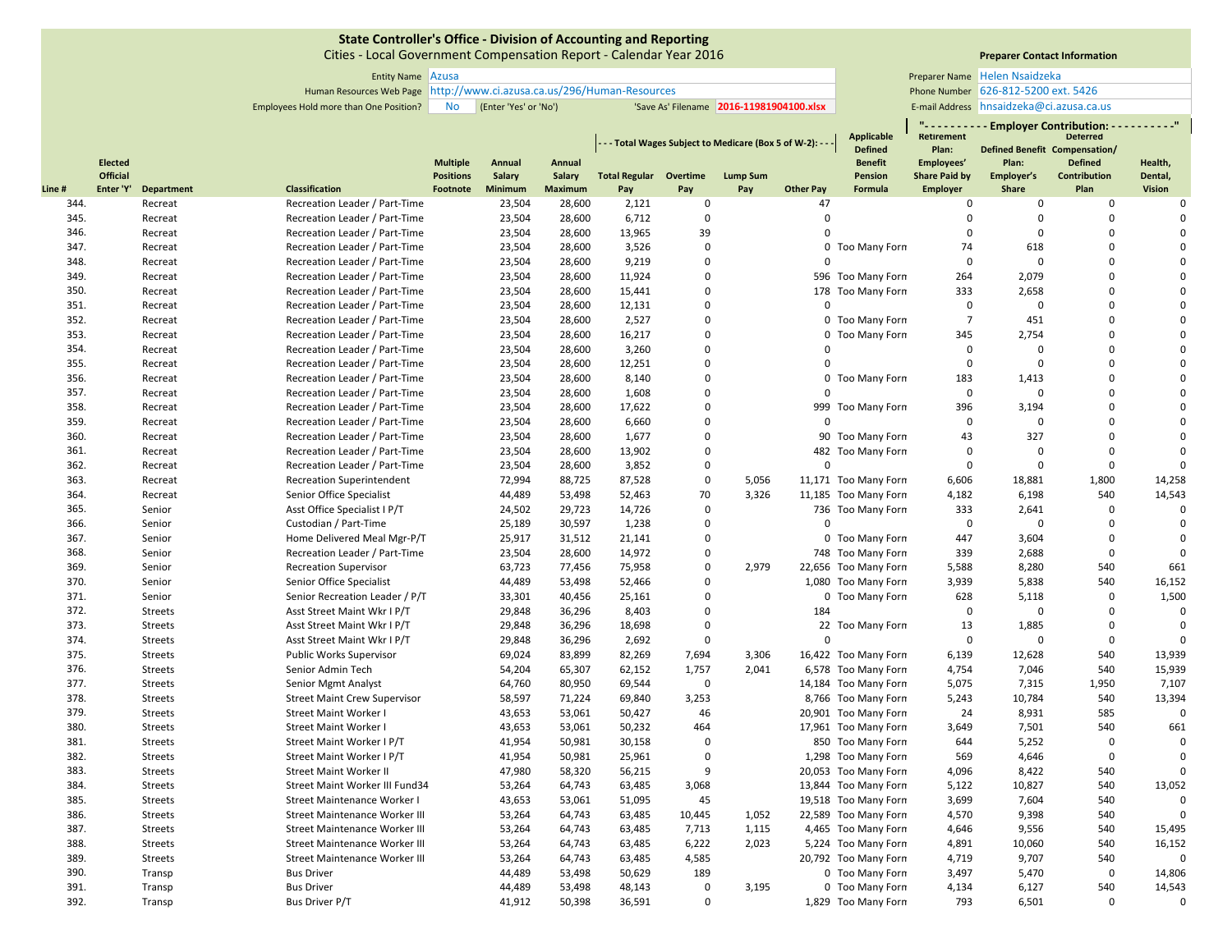Cities ‐ Local Government Compensation Report ‐ Calendar Year 2016

Entity Name Preparer Name Azusa Human Resources Web Page Phone Number http://www.ci.azusa.ca.us/296/Human‐Resources

# **Preparer Contact Information**

**" ‐ ‐ ‐ ‐ ‐ ‐ ‐ ‐ ‐ ‐ Employer Contribution: ‐ ‐ ‐ ‐ ‐ ‐ ‐ ‐ ‐ ‐"**

Employees Hold more than One Position? No (Enter 'Yes' or 'No') 'Save As' Filename 2016-11981904100.xlsx | E-mail Address Helen Nsaidzeka 626‐812‐5200 ext. 5426 E-mail Address hnsaidzeka@ci.azusa.ca.us

|       |           |                |                                      |                  |                |                |                               |             | - - - Total Wages Subject to Medicare (Box 5 of W-2): - - |                  | Applicable<br><b>Defined</b> | Retirement<br>Plan:  |             | <b>Deterred</b><br>Defined Benefit Compensation/ |               |
|-------|-----------|----------------|--------------------------------------|------------------|----------------|----------------|-------------------------------|-------------|-----------------------------------------------------------|------------------|------------------------------|----------------------|-------------|--------------------------------------------------|---------------|
|       | Elected   |                |                                      | <b>Multiple</b>  | Annual         | Annual         |                               |             |                                                           |                  | <b>Benefit</b>               | Employees'           | Plan:       | <b>Defined</b>                                   | Health,       |
|       | Official  |                |                                      | <b>Positions</b> | <b>Salary</b>  | Salary         | <b>Total Regular Overtime</b> |             | <b>Lump Sum</b>                                           |                  | <b>Pension</b>               | <b>Share Paid by</b> | Employer's  | Contribution                                     | Dental,       |
| Line# | Enter 'Y' | Department     | <b>Classification</b>                | Footnote         | <b>Minimum</b> | <b>Maximum</b> | Pay                           | Pay         | Pay                                                       | <b>Other Pay</b> | Formula                      | Employer             | Share       | Plan                                             | <b>Vision</b> |
| 344.  |           | Recreat        | Recreation Leader / Part-Time        |                  | 23,504         | 28,600         | 2,121                         | 0           |                                                           | 47               |                              | $\bf{0}$             | $\mathbf 0$ | $\mathbf 0$                                      | $\mathbf 0$   |
| 345.  |           | Recreat        | Recreation Leader / Part-Time        |                  | 23,504         | 28,600         | 6.712                         | $\mathbf 0$ |                                                           | $\Omega$         |                              | $\mathbf 0$          | $\Omega$    | $\mathbf 0$                                      | $\Omega$      |
| 346.  |           | Recreat        | Recreation Leader / Part-Time        |                  | 23,504         | 28,600         | 13,965                        | 39          |                                                           | $\mathbf 0$      |                              | 0                    | $\Omega$    | $\Omega$                                         | $\Omega$      |
| 347.  |           | Recreat        | Recreation Leader / Part-Time        |                  | 23,504         | 28,600         | 3,526                         | $\Omega$    |                                                           |                  | 0 Too Many Forn              | 74                   | 618         | $\Omega$                                         |               |
| 348.  |           | Recreat        | Recreation Leader / Part-Time        |                  | 23,504         | 28,600         | 9,219                         | 0           |                                                           | $\Omega$         |                              | 0                    | $\Omega$    | $\Omega$                                         | $\Omega$      |
| 349.  |           | Recreat        | Recreation Leader / Part-Time        |                  | 23,504         | 28,600         | 11,924                        | $\mathbf 0$ |                                                           |                  | 596 Too Many Forn            | 264                  | 2,079       | $\Omega$                                         | $\Omega$      |
| 350.  |           | Recreat        | Recreation Leader / Part-Time        |                  | 23,504         | 28,600         | 15,441                        | $\mathbf 0$ |                                                           |                  | 178 Too Many Forn            | 333                  | 2,658       | $\Omega$                                         |               |
| 351.  |           | Recreat        | Recreation Leader / Part-Time        |                  | 23,504         | 28,600         | 12,131                        | $\mathbf 0$ |                                                           | $\mathbf 0$      |                              | 0                    | $\Omega$    | $\Omega$                                         | $\Omega$      |
| 352.  |           | Recreat        | Recreation Leader / Part-Time        |                  | 23,504         | 28,600         | 2,527                         | $\Omega$    |                                                           |                  | 0 Too Many Forn              | $\overline{7}$       | 451         | $\Omega$                                         |               |
| 353.  |           | Recreat        | Recreation Leader / Part-Time        |                  | 23,504         | 28,600         | 16,217                        | 0           |                                                           |                  | 0 Too Many Forn              | 345                  | 2,754       | $\Omega$                                         | $\Omega$      |
| 354.  |           | Recreat        | Recreation Leader / Part-Time        |                  | 23,504         | 28,600         | 3,260                         | $\Omega$    |                                                           | $\Omega$         |                              | 0                    | $\mathbf 0$ | $\Omega$                                         | $\Omega$      |
| 355.  |           | Recreat        | Recreation Leader / Part-Time        |                  | 23,504         | 28,600         | 12,251                        | $\mathbf 0$ |                                                           | $\Omega$         |                              | $\mathbf 0$          | $\Omega$    | $\Omega$                                         | $\Omega$      |
| 356.  |           | Recreat        | Recreation Leader / Part-Time        |                  | 23,504         | 28,600         | 8,140                         | $\mathbf 0$ |                                                           |                  | 0 Too Many Forn              | 183                  | 1,413       | $\Omega$                                         | $\Omega$      |
| 357.  |           | Recreat        | Recreation Leader / Part-Time        |                  | 23,504         | 28,600         | 1,608                         | $\Omega$    |                                                           | $\Omega$         |                              | 0                    | $\Omega$    | $\Omega$                                         | $\Omega$      |
| 358.  |           | Recreat        | Recreation Leader / Part-Time        |                  | 23,504         | 28,600         | 17,622                        | 0           |                                                           |                  | 999 Too Many Forn            | 396                  | 3,194       | $\Omega$                                         | $\Omega$      |
| 359.  |           | Recreat        | Recreation Leader / Part-Time        |                  | 23,504         | 28,600         | 6,660                         | 0           |                                                           | $\Omega$         |                              | 0                    | $\mathbf 0$ | $\Omega$                                         | $\Omega$      |
| 360.  |           | Recreat        | Recreation Leader / Part-Time        |                  | 23,504         | 28,600         | 1,677                         | $\mathbf 0$ |                                                           |                  | 90 Too Many Forn             | 43                   | 327         | $\mathbf 0$                                      | $\Omega$      |
| 361.  |           | Recreat        | Recreation Leader / Part-Time        |                  | 23,504         | 28,600         | 13,902                        | $\mathbf 0$ |                                                           |                  | 482 Too Many Forn            | 0                    | $\Omega$    | $\Omega$                                         | $\Omega$      |
| 362.  |           | Recreat        | Recreation Leader / Part-Time        |                  | 23,504         | 28,600         | 3,852                         | 0           |                                                           | $\Omega$         |                              | 0                    | $\Omega$    | $\mathbf 0$                                      | $\Omega$      |
| 363.  |           | Recreat        | <b>Recreation Superintendent</b>     |                  | 72,994         | 88,725         | 87,528                        | 0           | 5,056                                                     |                  | 11,171 Too Many Forn         | 6,606                | 18,881      | 1,800                                            | 14,258        |
| 364.  |           | Recreat        | Senior Office Specialist             |                  | 44,489         | 53,498         | 52,463                        | 70          | 3,326                                                     |                  | 11,185 Too Many Forn         | 4,182                | 6,198       | 540                                              | 14,543        |
| 365.  |           | Senior         | Asst Office Specialist I P/T         |                  | 24,502         | 29,723         | 14,726                        | $\mathbf 0$ |                                                           |                  | 736 Too Many Forn            | 333                  | 2,641       | $\mathbf 0$                                      | $\Omega$      |
| 366.  |           | Senior         | Custodian / Part-Time                |                  | 25,189         | 30,597         | 1,238                         | 0           |                                                           | $\Omega$         |                              | 0                    | $\Omega$    | $\mathbf 0$                                      | $\mathbf 0$   |
| 367.  |           | Senior         | Home Delivered Meal Mgr-P/T          |                  | 25,917         | 31,512         | 21,141                        | $\Omega$    |                                                           |                  | 0 Too Many Forn              | 447                  | 3,604       | $\mathbf 0$                                      | $\Omega$      |
| 368.  |           | Senior         | Recreation Leader / Part-Time        |                  | 23,504         | 28,600         | 14,972                        | 0           |                                                           |                  | 748 Too Many Forn            | 339                  | 2,688       | $\mathbf 0$                                      | $\Omega$      |
| 369.  |           | Senior         | <b>Recreation Supervisor</b>         |                  | 63,723         | 77,456         | 75,958                        | $\mathbf 0$ | 2,979                                                     |                  | 22,656 Too Many Forn         | 5,588                | 8,280       | 540                                              | 661           |
| 370.  |           | Senior         | Senior Office Specialist             |                  | 44,489         | 53,498         | 52,466                        | $\mathbf 0$ |                                                           |                  | 1,080 Too Many Forn          | 3,939                | 5,838       | 540                                              | 16,152        |
| 371.  |           | Senior         | Senior Recreation Leader / P/T       |                  | 33,301         | 40,456         | 25,161                        | $\mathbf 0$ |                                                           |                  | 0 Too Many Forn              | 628                  | 5,118       | $\mathbf 0$                                      | 1,500         |
| 372.  |           | <b>Streets</b> | Asst Street Maint Wkr I P/T          |                  | 29,848         | 36,296         | 8,403                         | $\Omega$    |                                                           | 184              |                              | $\mathbf 0$          | $\Omega$    | $\mathbf 0$                                      | $\mathbf 0$   |
| 373.  |           | <b>Streets</b> | Asst Street Maint Wkr I P/T          |                  | 29,848         | 36,296         | 18,698                        | 0           |                                                           |                  | 22 Too Many Forn             | 13                   | 1,885       | $\mathbf{0}$                                     | $\mathbf{0}$  |
| 374.  |           | <b>Streets</b> | Asst Street Maint Wkr I P/T          |                  | 29,848         | 36,296         | 2,692                         | $\mathbf 0$ |                                                           | $\mathbf 0$      |                              | 0                    | $\mathbf 0$ | $\mathbf 0$                                      | $\mathbf 0$   |
| 375.  |           | <b>Streets</b> | <b>Public Works Supervisor</b>       |                  | 69,024         | 83,899         | 82,269                        | 7,694       | 3,306                                                     |                  | 16,422 Too Many Forn         | 6,139                | 12,628      | 540                                              | 13,939        |
| 376.  |           | <b>Streets</b> | Senior Admin Tech                    |                  | 54,204         | 65,307         | 62,152                        | 1,757       | 2,041                                                     |                  | 6,578 Too Many Forn          | 4,754                | 7,046       | 540                                              | 15,939        |
| 377.  |           | <b>Streets</b> | Senior Mgmt Analyst                  |                  | 64,760         | 80,950         | 69,544                        | $\mathbf 0$ |                                                           |                  | 14,184 Too Many Forn         | 5,075                | 7,315       | 1,950                                            | 7,107         |
| 378.  |           | <b>Streets</b> | <b>Street Maint Crew Supervisor</b>  |                  | 58,597         | 71,224         | 69,840                        | 3,253       |                                                           |                  | 8,766 Too Many Forn          | 5,243                | 10,784      | 540                                              | 13,394        |
| 379.  |           | <b>Streets</b> | <b>Street Maint Worker I</b>         |                  | 43,653         | 53,061         | 50,427                        | 46          |                                                           |                  | 20,901 Too Many Forn         | 24                   | 8,931       | 585                                              | $\Omega$      |
| 380.  |           | <b>Streets</b> | <b>Street Maint Worker I</b>         |                  | 43,653         | 53,061         | 50,232                        | 464         |                                                           |                  | 17,961 Too Many Forn         | 3,649                | 7,501       | 540                                              | 661           |
| 381.  |           | <b>Streets</b> | Street Maint Worker I P/T            |                  | 41,954         | 50,981         | 30,158                        | $\mathbf 0$ |                                                           |                  | 850 Too Many Forn            | 644                  | 5,252       | $\mathbf 0$                                      | $\mathbf 0$   |
| 382.  |           | <b>Streets</b> | Street Maint Worker I P/T            |                  | 41,954         | 50,981         | 25,961                        | $\mathbf 0$ |                                                           |                  | 1,298 Too Many Forn          | 569                  | 4,646       | $\mathbf 0$                                      | $\mathbf{0}$  |
| 383.  |           | <b>Streets</b> | <b>Street Maint Worker II</b>        |                  | 47,980         | 58,320         | 56,215                        | 9           |                                                           |                  | 20,053 Too Many Forn         | 4,096                | 8,422       | 540                                              |               |
| 384.  |           | <b>Streets</b> | Street Maint Worker III Fund34       |                  | 53,264         | 64,743         | 63,485                        | 3,068       |                                                           |                  | 13,844 Too Many Forn         | 5,122                | 10,827      | 540                                              | 13,052        |
| 385.  |           | <b>Streets</b> | Street Maintenance Worker I          |                  | 43,653         | 53,061         | 51,095                        | 45          |                                                           |                  | 19,518 Too Many Forn         | 3,699                | 7,604       | 540                                              | $\Omega$      |
| 386.  |           | <b>Streets</b> | <b>Street Maintenance Worker III</b> |                  | 53,264         | 64,743         | 63,485                        | 10,445      | 1,052                                                     |                  | 22,589 Too Many Forn         | 4,570                | 9,398       | 540                                              |               |
| 387.  |           | <b>Streets</b> | <b>Street Maintenance Worker III</b> |                  | 53,264         | 64,743         | 63,485                        | 7,713       | 1,115                                                     |                  | 4,465 Too Many Forn          | 4,646                | 9,556       | 540                                              | 15,495        |
| 388.  |           | <b>Streets</b> | <b>Street Maintenance Worker III</b> |                  | 53,264         | 64,743         | 63,485                        | 6,222       | 2,023                                                     |                  | 5,224 Too Many Forn          | 4,891                | 10,060      | 540                                              | 16,152        |
| 389.  |           | <b>Streets</b> | <b>Street Maintenance Worker III</b> |                  | 53,264         | 64,743         | 63,485                        | 4,585       |                                                           |                  | 20,792 Too Many Forn         | 4,719                | 9,707       | 540                                              | $\Omega$      |
| 390.  |           | Transp         | <b>Bus Driver</b>                    |                  | 44,489         | 53,498         | 50,629                        | 189         |                                                           |                  | 0 Too Many Forn              | 3,497                | 5,470       | $\mathbf 0$                                      | 14,806        |
| 391.  |           | Transp         | <b>Bus Driver</b>                    |                  | 44,489         | 53,498         | 48,143                        | $\mathbf 0$ | 3,195                                                     |                  | 0 Too Many Forn              | 4,134                | 6,127       | 540                                              | 14,543        |
| 392.  |           | Transp         | <b>Bus Driver P/T</b>                |                  | 41,912         | 50,398         | 36,591                        | $\mathbf 0$ |                                                           |                  | 1,829 Too Many Forn          | 793                  | 6,501       | $\mathbf{0}$                                     | $\Omega$      |
|       |           |                |                                      |                  |                |                |                               |             |                                                           |                  |                              |                      |             |                                                  |               |